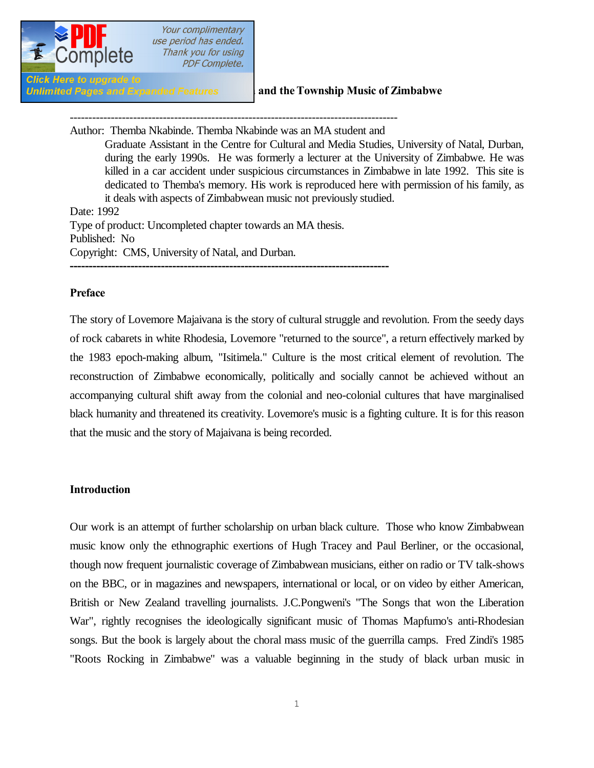

**Click Here to upgrade to** 

#### **Unlimited Pages and Expanded Features** and the Township Music of Zimbabwe

---------------------------------------------------------------------------------------- Author: Themba Nkabinde. Themba Nkabinde was an MA student and Graduate Assistant in the Centre for Cultural and Media Studies, University of Natal, Durban, during the early 1990s. He was formerly a lecturer at the University of Zimbabwe. He was killed in a car accident under suspicious circumstances in Zimbabwe in late 1992. This site is dedicated to Themba's memory. His work is reproduced here with permission of his family, as it deals with aspects of Zimbabwean music not previously studied. Date: 1992 Type of product: Uncompleted chapter towards an MA thesis. Published: No Copyright: CMS, University of Natal, and Durban. **------------------------------------------------------------------------------------**

#### **Preface**

The story of Lovemore Majaivana is the story of cultural struggle and revolution. From the seedy days of rock cabarets in white Rhodesia, Lovemore "returned to the source", a return effectively marked by the 1983 epoch-making album, "Isitimela." Culture is the most critical element of revolution. The reconstruction of Zimbabwe economically, politically and socially cannot be achieved without an accompanying cultural shift away from the colonial and neo-colonial cultures that have marginalised black humanity and threatened its creativity. Lovemore's music is a fighting culture. It is for this reason that the music and the story of Majaivana is being recorded.

#### **Introduction**

Our work is an attempt of further scholarship on urban black culture. Those who know Zimbabwean music know only the ethnographic exertions of Hugh Tracey and Paul Berliner, or the occasional, though now frequent journalistic coverage of Zimbabwean musicians, either on radio or TV talk-shows on the BBC, or in magazines and newspapers, international or local, or on video by either American, British or New Zealand travelling journalists. J.C.Pongweni's "The Songs that won the Liberation War", rightly recognises the ideologically significant music of Thomas Mapfumo's anti-Rhodesian songs. But the book is largely about the choral mass music of the guerrilla camps. Fred Zindi's 1985 "Roots Rocking in Zimbabwe" was a valuable beginning in the study of black urban music in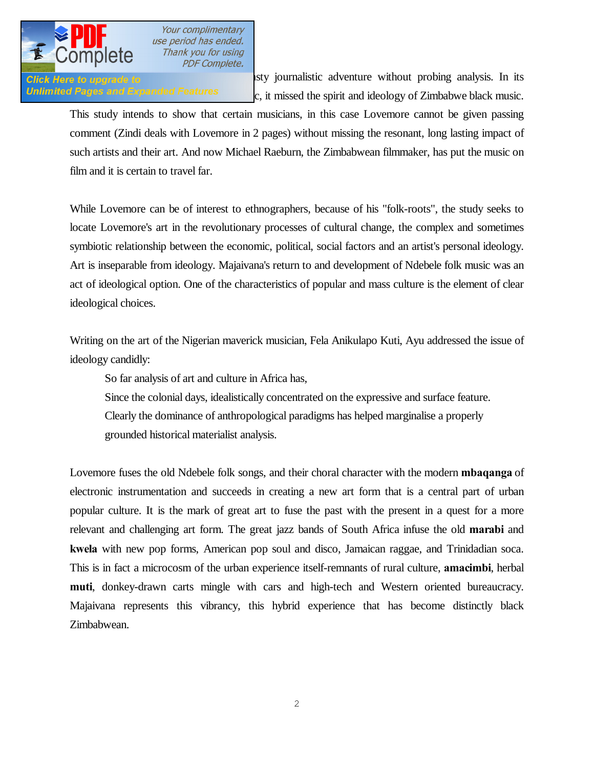

**Click Here to upgrade to unity** is use using its adventure without probing analysis. In its Unlimited Pages and Expanded Features  $\epsilon$ , it missed the spirit and ideology of Zimbabwe black music.

This study intends to show that certain musicians, in this case Lovemore cannot be given passing comment (Zindi deals with Lovemore in 2 pages) without missing the resonant, long lasting impact of such artists and their art. And now Michael Raeburn, the Zimbabwean filmmaker, has put the music on film and it is certain to travel far.

While Lovemore can be of interest to ethnographers, because of his "folk-roots", the study seeks to locate Lovemore's art in the revolutionary processes of cultural change, the complex and sometimes symbiotic relationship between the economic, political, social factors and an artist's personal ideology. Art is inseparable from ideology. Majaivana's return to and development of Ndebele folk music was an act of ideological option. One of the characteristics of popular and mass culture is the element of clear ideological choices.

Writing on the art of the Nigerian maverick musician, Fela Anikulapo Kuti, Ayu addressed the issue of ideology candidly:

So far analysis of art and culture in Africa has,

Since the colonial days, idealistically concentrated on the expressive and surface feature.

Clearly the dominance of anthropological paradigms has helped marginalise a properly grounded historical materialist analysis.

Lovemore fuses the old Ndebele folk songs, and their choral character with the modern **mbaqanga** of electronic instrumentation and succeeds in creating a new art form that is a central part of urban popular culture. It is the mark of great art to fuse the past with the present in a quest for a more relevant and challenging art form. The great jazz bands of South Africa infuse the old **marabi** and **kwela** with new pop forms, American pop soul and disco, Jamaican raggae, and Trinidadian soca. This is in fact a microcosm of the urban experience itself-remnants of rural culture, **amacimbi**, herbal **muti**, donkey-drawn carts mingle with cars and high-tech and Western oriented bureaucracy. Majaivana represents this vibrancy, this hybrid experience that has become distinctly black Zimbabwean.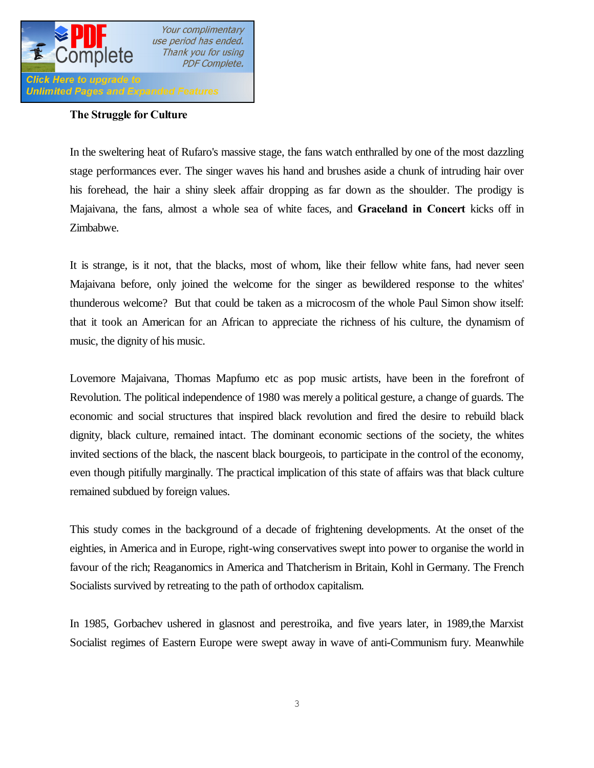

#### **The Struggle for Culture**

In the sweltering heat of Rufaro's massive stage, the fans watch enthralled by one of the most dazzling stage performances ever. The singer waves his hand and brushes aside a chunk of intruding hair over his forehead, the hair a shiny sleek affair dropping as far down as the shoulder. The prodigy is Majaivana, the fans, almost a whole sea of white faces, and **Graceland in Concert** kicks off in Zimbabwe.

It is strange, is it not, that the blacks, most of whom, like their fellow white fans, had never seen Majaivana before, only joined the welcome for the singer as bewildered response to the whites' thunderous welcome? But that could be taken as a microcosm of the whole Paul Simon show itself: that it took an American for an African to appreciate the richness of his culture, the dynamism of music, the dignity of his music.

Lovemore Majaivana, Thomas Mapfumo etc as pop music artists, have been in the forefront of Revolution. The political independence of 1980 was merely a political gesture, a change of guards. The economic and social structures that inspired black revolution and fired the desire to rebuild black dignity, black culture, remained intact. The dominant economic sections of the society, the whites invited sections of the black, the nascent black bourgeois, to participate in the control of the economy, even though pitifully marginally. The practical implication of this state of affairs was that black culture remained subdued by foreign values.

This study comes in the background of a decade of frightening developments. At the onset of the eighties, in America and in Europe, right-wing conservatives swept into power to organise the world in favour of the rich; Reaganomics in America and Thatcherism in Britain, Kohl in Germany. The French Socialists survived by retreating to the path of orthodox capitalism.

In 1985, Gorbachev ushered in glasnost and perestroika, and five years later, in 1989,the Marxist Socialist regimes of Eastern Europe were swept away in wave of anti-Communism fury. Meanwhile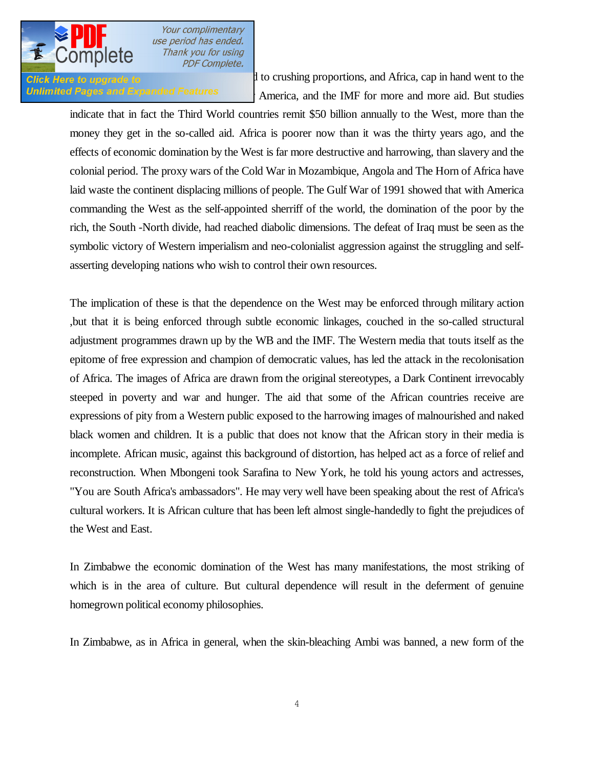

Click Here to upgrade to  $\frac{1}{2}$  to crushing proportions, and Africa, cap in hand went to the Unlimited Pages and Expanded Features America, and the IMF for more and more aid. But studies

indicate that in fact the Third World countries remit \$50 billion annually to the West, more than the money they get in the so-called aid. Africa is poorer now than it was the thirty years ago, and the effects of economic domination by the West is far more destructive and harrowing, than slavery and the colonial period. The proxy wars of the Cold War in Mozambique, Angola and The Horn of Africa have laid waste the continent displacing millions of people. The Gulf War of 1991 showed that with America commanding the West as the self-appointed sherriff of the world, the domination of the poor by the rich, the South -North divide, had reached diabolic dimensions. The defeat of Iraq must be seen as the symbolic victory of Western imperialism and neo-colonialist aggression against the struggling and selfasserting developing nations who wish to control their own resources.

The implication of these is that the dependence on the West may be enforced through military action ,but that it is being enforced through subtle economic linkages, couched in the so-called structural adjustment programmes drawn up by the WB and the IMF. The Western media that touts itself as the epitome of free expression and champion of democratic values, has led the attack in the recolonisation of Africa. The images of Africa are drawn from the original stereotypes, a Dark Continent irrevocably steeped in poverty and war and hunger. The aid that some of the African countries receive are expressions of pity from a Western public exposed to the harrowing images of malnourished and naked black women and children. It is a public that does not know that the African story in their media is incomplete. African music, against this background of distortion, has helped act as a force of relief and reconstruction. When Mbongeni took Sarafina to New York, he told his young actors and actresses, "You are South Africa's ambassadors". He may very well have been speaking about the rest of Africa's cultural workers. It is African culture that has been left almost single-handedly to fight the prejudices of the West and East.

In Zimbabwe the economic domination of the West has many manifestations, the most striking of which is in the area of culture. But cultural dependence will result in the deferment of genuine homegrown political economy philosophies.

In Zimbabwe, as in Africa in general, when the skin-bleaching Ambi was banned, a new form of the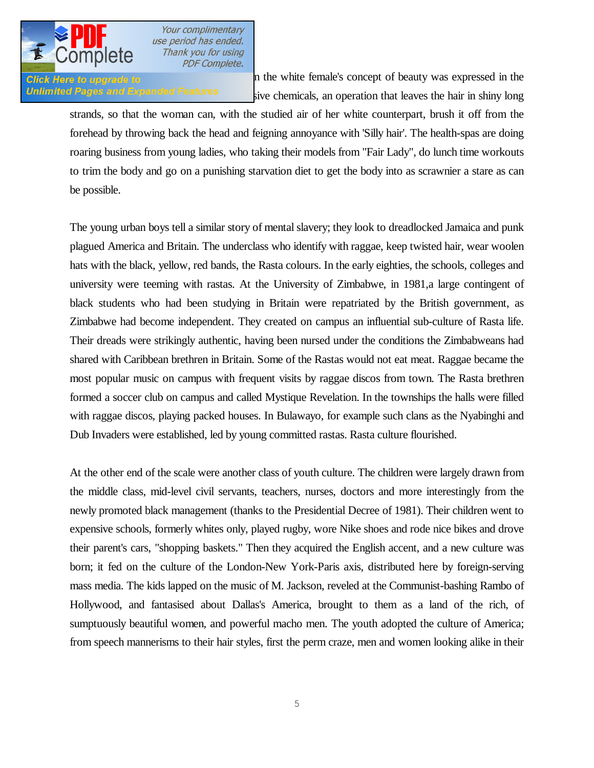

**Click Here to upgrade to black**  $\blacksquare$  **h** the white female's concept of beauty was expressed in the Unlimited Pages and Expanded Features sive chemicals, an operation that leaves the hair in shiny long

strands, so that the woman can, with the studied air of her white counterpart, brush it off from the forehead by throwing back the head and feigning annoyance with 'Silly hair'. The health-spas are doing roaring business from young ladies, who taking their models from "Fair Lady", do lunch time workouts to trim the body and go on a punishing starvation diet to get the body into as scrawnier a stare as can be possible.

The young urban boys tell a similar story of mental slavery; they look to dreadlocked Jamaica and punk plagued America and Britain. The underclass who identify with raggae, keep twisted hair, wear woolen hats with the black, yellow, red bands, the Rasta colours. In the early eighties, the schools, colleges and university were teeming with rastas. At the University of Zimbabwe, in 1981,a large contingent of black students who had been studying in Britain were repatriated by the British government, as Zimbabwe had become independent. They created on campus an influential sub-culture of Rasta life. Their dreads were strikingly authentic, having been nursed under the conditions the Zimbabweans had shared with Caribbean brethren in Britain. Some of the Rastas would not eat meat. Raggae became the most popular music on campus with frequent visits by raggae discos from town. The Rasta brethren formed a soccer club on campus and called Mystique Revelation. In the townships the halls were filled with raggae discos, playing packed houses. In Bulawayo, for example such clans as the Nyabinghi and Dub Invaders were established, led by young committed rastas. Rasta culture flourished.

At the other end of the scale were another class of youth culture. The children were largely drawn from the middle class, mid-level civil servants, teachers, nurses, doctors and more interestingly from the newly promoted black management (thanks to the Presidential Decree of 1981). Their children went to expensive schools, formerly whites only, played rugby, wore Nike shoes and rode nice bikes and drove their parent's cars, "shopping baskets." Then they acquired the English accent, and a new culture was born; it fed on the culture of the London-New York-Paris axis, distributed here by foreign-serving mass media. The kids lapped on the music of M. Jackson, reveled at the Communist-bashing Rambo of Hollywood, and fantasised about Dallas's America, brought to them as a land of the rich, of sumptuously beautiful women, and powerful macho men. The youth adopted the culture of America; from speech mannerisms to their hair styles, first the perm craze, men and women looking alike in their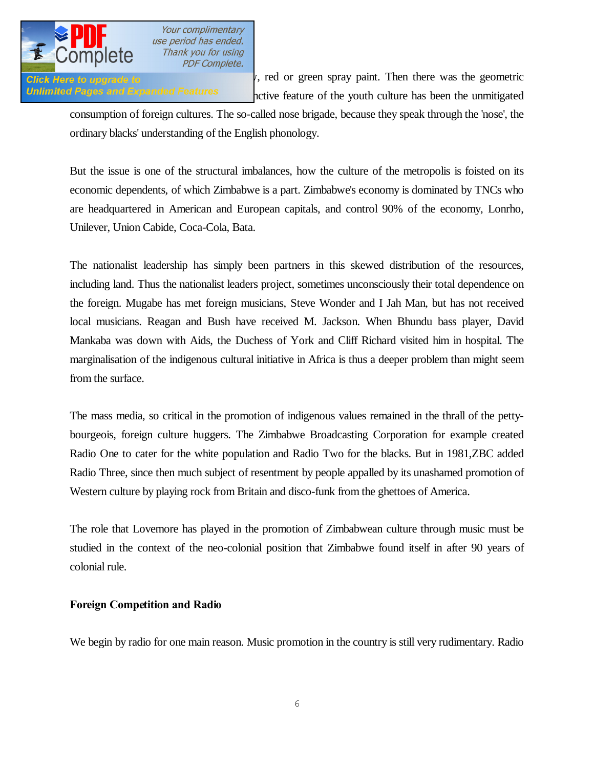

Glick Here to upgrade to  $\mathcal{V}$ , red or green spray paint. Then there was the geometric Unlimited Pages and Expanded Features encive feature of the youth culture has been the unmitigated

consumption of foreign cultures. The so-called nose brigade, because they speak through the 'nose', the ordinary blacks' understanding of the English phonology.

But the issue is one of the structural imbalances, how the culture of the metropolis is foisted on its economic dependents, of which Zimbabwe is a part. Zimbabwe's economy is dominated by TNCs who are headquartered in American and European capitals, and control 90% of the economy, Lonrho, Unilever, Union Cabide, Coca-Cola, Bata.

The nationalist leadership has simply been partners in this skewed distribution of the resources, including land. Thus the nationalist leaders project, sometimes unconsciously their total dependence on the foreign. Mugabe has met foreign musicians, Steve Wonder and I Jah Man, but has not received local musicians. Reagan and Bush have received M. Jackson. When Bhundu bass player, David Mankaba was down with Aids, the Duchess of York and Cliff Richard visited him in hospital. The marginalisation of the indigenous cultural initiative in Africa is thus a deeper problem than might seem from the surface.

The mass media, so critical in the promotion of indigenous values remained in the thrall of the pettybourgeois, foreign culture huggers. The Zimbabwe Broadcasting Corporation for example created Radio One to cater for the white population and Radio Two for the blacks. But in 1981,ZBC added Radio Three, since then much subject of resentment by people appalled by its unashamed promotion of Western culture by playing rock from Britain and disco-funk from the ghettoes of America.

The role that Lovemore has played in the promotion of Zimbabwean culture through music must be studied in the context of the neo-colonial position that Zimbabwe found itself in after 90 years of colonial rule.

### **Foreign Competition and Radio**

We begin by radio for one main reason. Music promotion in the country is still very rudimentary. Radio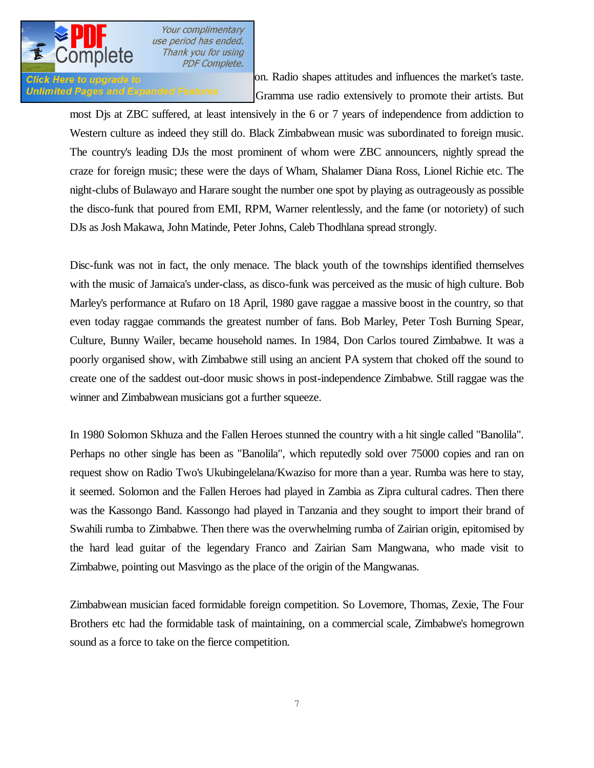

**Click Here to upgrade to** promotion on Radio shapes attitudes and influences the market's taste. Unlimited Pages and Expanded Features Gramma use radio extensively to promote their artists. But

most Djs at ZBC suffered, at least intensively in the 6 or 7 years of independence from addiction to Western culture as indeed they still do. Black Zimbabwean music was subordinated to foreign music. The country's leading DJs the most prominent of whom were ZBC announcers, nightly spread the craze for foreign music; these were the days of Wham, Shalamer Diana Ross, Lionel Richie etc. The night-clubs of Bulawayo and Harare sought the number one spot by playing as outrageously as possible the disco-funk that poured from EMI, RPM, Warner relentlessly, and the fame (or notoriety) of such DJs as Josh Makawa, John Matinde, Peter Johns, Caleb Thodhlana spread strongly.

Disc-funk was not in fact, the only menace. The black youth of the townships identified themselves with the music of Jamaica's under-class, as disco-funk was perceived as the music of high culture. Bob Marley's performance at Rufaro on 18 April, 1980 gave raggae a massive boost in the country, so that even today raggae commands the greatest number of fans. Bob Marley, Peter Tosh Burning Spear, Culture, Bunny Wailer, became household names. In 1984, Don Carlos toured Zimbabwe. It was a poorly organised show, with Zimbabwe still using an ancient PA system that choked off the sound to create one of the saddest out-door music shows in post-independence Zimbabwe. Still raggae was the winner and Zimbabwean musicians got a further squeeze.

In 1980 Solomon Skhuza and the Fallen Heroes stunned the country with a hit single called "Banolila". Perhaps no other single has been as "Banolila", which reputedly sold over 75000 copies and ran on request show on Radio Two's Ukubingelelana/Kwaziso for more than a year. Rumba was here to stay, it seemed. Solomon and the Fallen Heroes had played in Zambia as Zipra cultural cadres. Then there was the Kassongo Band. Kassongo had played in Tanzania and they sought to import their brand of Swahili rumba to Zimbabwe. Then there was the overwhelming rumba of Zairian origin, epitomised by the hard lead guitar of the legendary Franco and Zairian Sam Mangwana, who made visit to Zimbabwe, pointing out Masvingo as the place of the origin of the Mangwanas.

Zimbabwean musician faced formidable foreign competition. So Lovemore, Thomas, Zexie, The Four Brothers etc had the formidable task of maintaining, on a commercial scale, Zimbabwe's homegrown sound as a force to take on the fierce competition.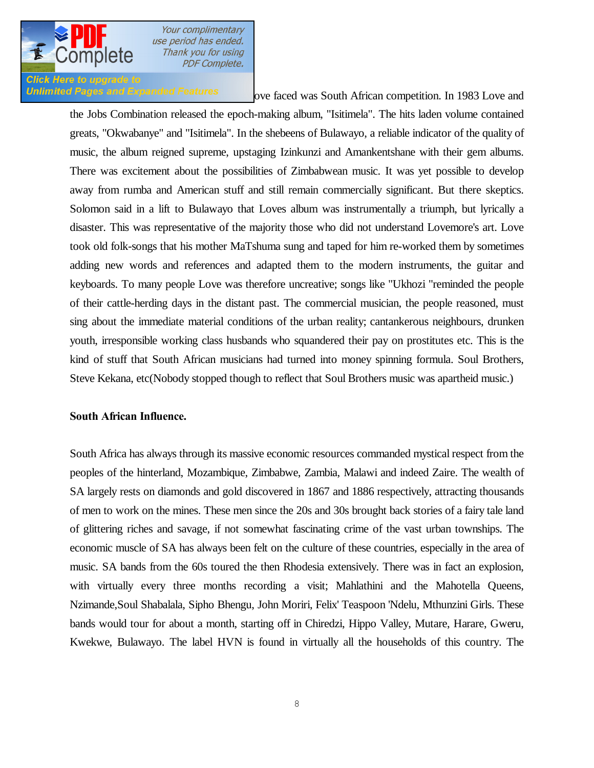

# **Click Here to upgrade to**

Unlimited Pages and Expanded Features ove faced was South African competition. In 1983 Love and

the Jobs Combination released the epoch-making album, "Isitimela". The hits laden volume contained greats, "Okwabanye" and "Isitimela". In the shebeens of Bulawayo, a reliable indicator of the quality of music, the album reigned supreme, upstaging Izinkunzi and Amankentshane with their gem albums. There was excitement about the possibilities of Zimbabwean music. It was yet possible to develop away from rumba and American stuff and still remain commercially significant. But there skeptics. Solomon said in a lift to Bulawayo that Loves album was instrumentally a triumph, but lyrically a disaster. This was representative of the majority those who did not understand Lovemore's art. Love took old folk-songs that his mother MaTshuma sung and taped for him re-worked them by sometimes adding new words and references and adapted them to the modern instruments, the guitar and keyboards. To many people Love was therefore uncreative; songs like "Ukhozi "reminded the people of their cattle-herding days in the distant past. The commercial musician, the people reasoned, must sing about the immediate material conditions of the urban reality; cantankerous neighbours, drunken youth, irresponsible working class husbands who squandered their pay on prostitutes etc. This is the kind of stuff that South African musicians had turned into money spinning formula. Soul Brothers, Steve Kekana, etc(Nobody stopped though to reflect that Soul Brothers music was apartheid music.)

#### **South African Influence.**

South Africa has always through its massive economic resources commanded mystical respect from the peoples of the hinterland, Mozambique, Zimbabwe, Zambia, Malawi and indeed Zaire. The wealth of SA largely rests on diamonds and gold discovered in 1867 and 1886 respectively, attracting thousands of men to work on the mines. These men since the 20s and 30s brought back stories of a fairy tale land of glittering riches and savage, if not somewhat fascinating crime of the vast urban townships. The economic muscle of SA has always been felt on the culture of these countries, especially in the area of music. SA bands from the 60s toured the then Rhodesia extensively. There was in fact an explosion, with virtually every three months recording a visit; Mahlathini and the Mahotella Queens, Nzimande,Soul Shabalala, Sipho Bhengu, John Moriri, Felix' Teaspoon 'Ndelu, Mthunzini Girls. These bands would tour for about a month, starting off in Chiredzi, Hippo Valley, Mutare, Harare, Gweru, Kwekwe, Bulawayo. The label HVN is found in virtually all the households of this country. The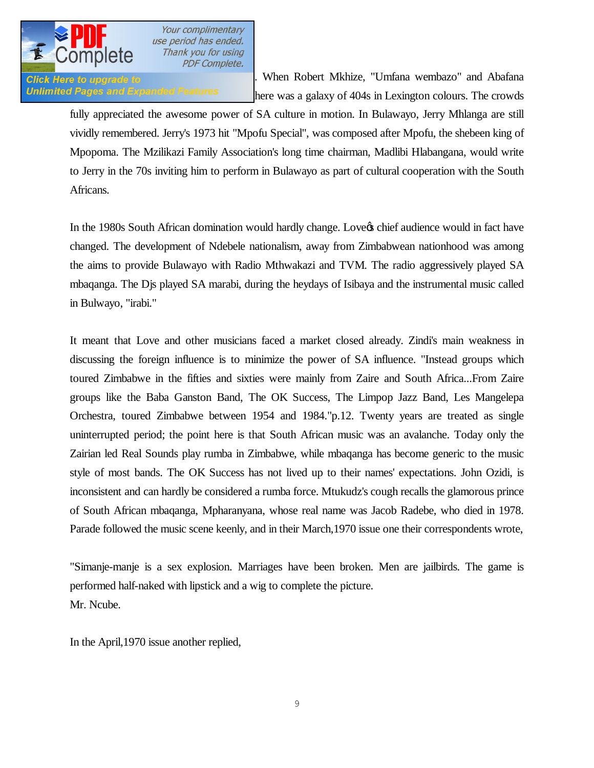

**Click Here to upgrade to promotion of the set of the Robert Mkhize**, "Umfana wembazo" and Abafana Unlimited Pages and Expanded Features here was a galaxy of 404s in Lexington colours. The crowds

fully appreciated the awesome power of SA culture in motion. In Bulawayo, Jerry Mhlanga are still vividly remembered. Jerry's 1973 hit "Mpofu Special", was composed after Mpofu, the shebeen king of Mpopoma. The Mzilikazi Family Association's long time chairman, Madlibi Hlabangana, would write to Jerry in the 70s inviting him to perform in Bulawayo as part of cultural cooperation with the South Africans.

In the 1980s South African domination would hardly change. Love the schief audience would in fact have changed. The development of Ndebele nationalism, away from Zimbabwean nationhood was among the aims to provide Bulawayo with Radio Mthwakazi and TVM. The radio aggressively played SA mbaqanga. The Djs played SA marabi, during the heydays of Isibaya and the instrumental music called in Bulwayo, "irabi."

It meant that Love and other musicians faced a market closed already. Zindi's main weakness in discussing the foreign influence is to minimize the power of SA influence. "Instead groups which toured Zimbabwe in the fifties and sixties were mainly from Zaire and South Africa...From Zaire groups like the Baba Ganston Band, The OK Success, The Limpop Jazz Band, Les Mangelepa Orchestra, toured Zimbabwe between 1954 and 1984."p.12. Twenty years are treated as single uninterrupted period; the point here is that South African music was an avalanche. Today only the Zairian led Real Sounds play rumba in Zimbabwe, while mbaqanga has become generic to the music style of most bands. The OK Success has not lived up to their names' expectations. John Ozidi, is inconsistent and can hardly be considered a rumba force. Mtukudz's cough recalls the glamorous prince of South African mbaqanga, Mpharanyana, whose real name was Jacob Radebe, who died in 1978. Parade followed the music scene keenly, and in their March,1970 issue one their correspondents wrote,

"Simanje-manje is a sex explosion. Marriages have been broken. Men are jailbirds. The game is performed half-naked with lipstick and a wig to complete the picture. Mr. Ncube.

In the April,1970 issue another replied,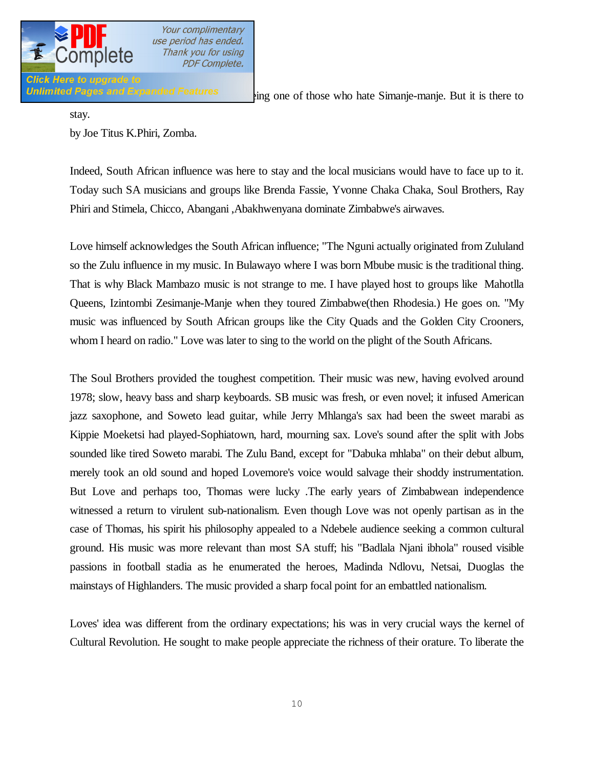

Unlimited Pages and Expanded Features  $\lim_{z \to z}$  one of those who hate Simanje-manje. But it is there to

stay.

by Joe Titus K.Phiri, Zomba.

Indeed, South African influence was here to stay and the local musicians would have to face up to it. Today such SA musicians and groups like Brenda Fassie, Yvonne Chaka Chaka, Soul Brothers, Ray Phiri and Stimela, Chicco, Abangani ,Abakhwenyana dominate Zimbabwe's airwaves.

Love himself acknowledges the South African influence; "The Nguni actually originated from Zululand so the Zulu influence in my music. In Bulawayo where I was born Mbube music is the traditional thing. That is why Black Mambazo music is not strange to me. I have played host to groups like Mahotlla Queens, Izintombi Zesimanje-Manje when they toured Zimbabwe(then Rhodesia.) He goes on. "My music was influenced by South African groups like the City Quads and the Golden City Crooners, whom I heard on radio." Love was later to sing to the world on the plight of the South Africans.

The Soul Brothers provided the toughest competition. Their music was new, having evolved around 1978; slow, heavy bass and sharp keyboards. SB music was fresh, or even novel; it infused American jazz saxophone, and Soweto lead guitar, while Jerry Mhlanga's sax had been the sweet marabi as Kippie Moeketsi had played-Sophiatown, hard, mourning sax. Love's sound after the split with Jobs sounded like tired Soweto marabi. The Zulu Band, except for "Dabuka mhlaba" on their debut album, merely took an old sound and hoped Lovemore's voice would salvage their shoddy instrumentation. But Love and perhaps too, Thomas were lucky .The early years of Zimbabwean independence witnessed a return to virulent sub-nationalism. Even though Love was not openly partisan as in the case of Thomas, his spirit his philosophy appealed to a Ndebele audience seeking a common cultural ground. His music was more relevant than most SA stuff; his "Badlala Njani ibhola" roused visible passions in football stadia as he enumerated the heroes, Madinda Ndlovu, Netsai, Duoglas the mainstays of Highlanders. The music provided a sharp focal point for an embattled nationalism.

Loves' idea was different from the ordinary expectations; his was in very crucial ways the kernel of Cultural Revolution. He sought to make people appreciate the richness of their orature. To liberate the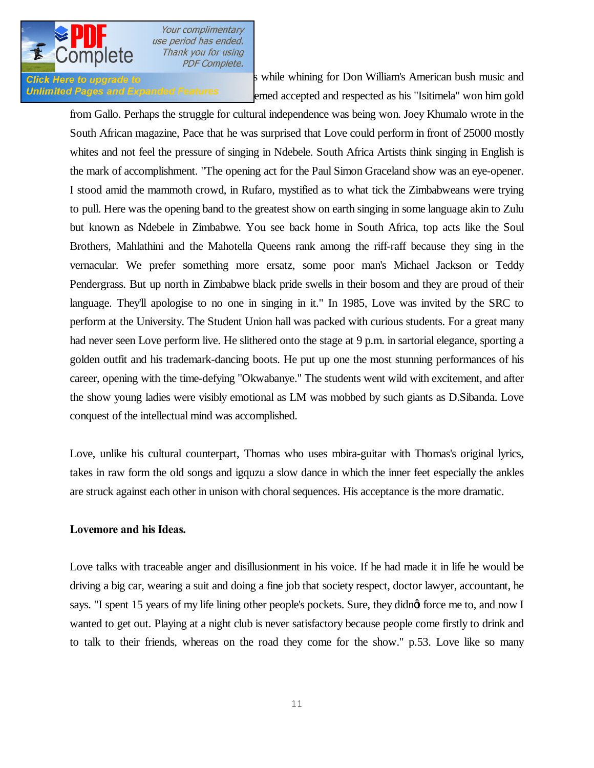

**Click Here to upgrade to** North S while whining for Don William's American bush music and Unlimited Pages and Expanded Features emed accepted and respected as his "Isitimela" won him gold

from Gallo. Perhaps the struggle for cultural independence was being won. Joey Khumalo wrote in the South African magazine, Pace that he was surprised that Love could perform in front of 25000 mostly whites and not feel the pressure of singing in Ndebele. South Africa Artists think singing in English is the mark of accomplishment. "The opening act for the Paul Simon Graceland show was an eye-opener. I stood amid the mammoth crowd, in Rufaro, mystified as to what tick the Zimbabweans were trying to pull. Here was the opening band to the greatest show on earth singing in some language akin to Zulu but known as Ndebele in Zimbabwe. You see back home in South Africa, top acts like the Soul Brothers, Mahlathini and the Mahotella Queens rank among the riff-raff because they sing in the vernacular. We prefer something more ersatz, some poor man's Michael Jackson or Teddy Pendergrass. But up north in Zimbabwe black pride swells in their bosom and they are proud of their language. They'll apologise to no one in singing in it." In 1985, Love was invited by the SRC to perform at the University. The Student Union hall was packed with curious students. For a great many had never seen Love perform live. He slithered onto the stage at 9 p.m. in sartorial elegance, sporting a golden outfit and his trademark-dancing boots. He put up one the most stunning performances of his career, opening with the time-defying "Okwabanye." The students went wild with excitement, and after the show young ladies were visibly emotional as LM was mobbed by such giants as D.Sibanda. Love conquest of the intellectual mind was accomplished.

Love, unlike his cultural counterpart, Thomas who uses mbira-guitar with Thomas's original lyrics, takes in raw form the old songs and igquzu a slow dance in which the inner feet especially the ankles are struck against each other in unison with choral sequences. His acceptance is the more dramatic.

#### **Lovemore and his Ideas.**

Love talks with traceable anger and disillusionment in his voice. If he had made it in life he would be driving a big car, wearing a suit and doing a fine job that society respect, doctor lawyer, accountant, he says. "I spent 15 years of my life lining other people's pockets. Sure, they didnot force me to, and now I wanted to get out. Playing at a night club is never satisfactory because people come firstly to drink and to talk to their friends, whereas on the road they come for the show." p.53. Love like so many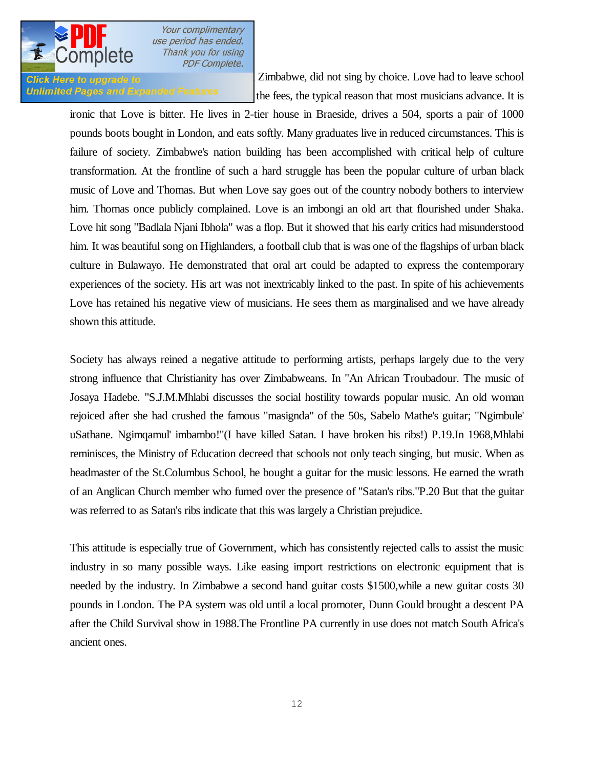

**Click Here to upgrade to** world, and particularly in Zimbabwe, did not sing by choice. Love had to leave school Unlimited Pages and Expanded Features the fees, the typical reason that most musicians advance. It is

ironic that Love is bitter. He lives in 2-tier house in Braeside, drives a 504, sports a pair of 1000 pounds boots bought in London, and eats softly. Many graduates live in reduced circumstances. This is failure of society. Zimbabwe's nation building has been accomplished with critical help of culture transformation. At the frontline of such a hard struggle has been the popular culture of urban black music of Love and Thomas. But when Love say goes out of the country nobody bothers to interview him. Thomas once publicly complained. Love is an imbongi an old art that flourished under Shaka. Love hit song "Badlala Njani Ibhola" was a flop. But it showed that his early critics had misunderstood him. It was beautiful song on Highlanders, a football club that is was one of the flagships of urban black culture in Bulawayo. He demonstrated that oral art could be adapted to express the contemporary experiences of the society. His art was not inextricably linked to the past. In spite of his achievements Love has retained his negative view of musicians. He sees them as marginalised and we have already shown this attitude.

Society has always reined a negative attitude to performing artists, perhaps largely due to the very strong influence that Christianity has over Zimbabweans. In "An African Troubadour. The music of Josaya Hadebe. "S.J.M.Mhlabi discusses the social hostility towards popular music. An old woman rejoiced after she had crushed the famous "masignda" of the 50s, Sabelo Mathe's guitar; "Ngimbule' uSathane. Ngimqamul' imbambo!"(I have killed Satan. I have broken his ribs!) P.19.In 1968,Mhlabi reminisces, the Ministry of Education decreed that schools not only teach singing, but music. When as headmaster of the St.Columbus School, he bought a guitar for the music lessons. He earned the wrath of an Anglican Church member who fumed over the presence of "Satan's ribs."P.20 But that the guitar was referred to as Satan's ribs indicate that this was largely a Christian prejudice.

This attitude is especially true of Government, which has consistently rejected calls to assist the music industry in so many possible ways. Like easing import restrictions on electronic equipment that is needed by the industry. In Zimbabwe a second hand guitar costs \$1500,while a new guitar costs 30 pounds in London. The PA system was old until a local promoter, Dunn Gould brought a descent PA after the Child Survival show in 1988.The Frontline PA currently in use does not match South Africa's ancient ones.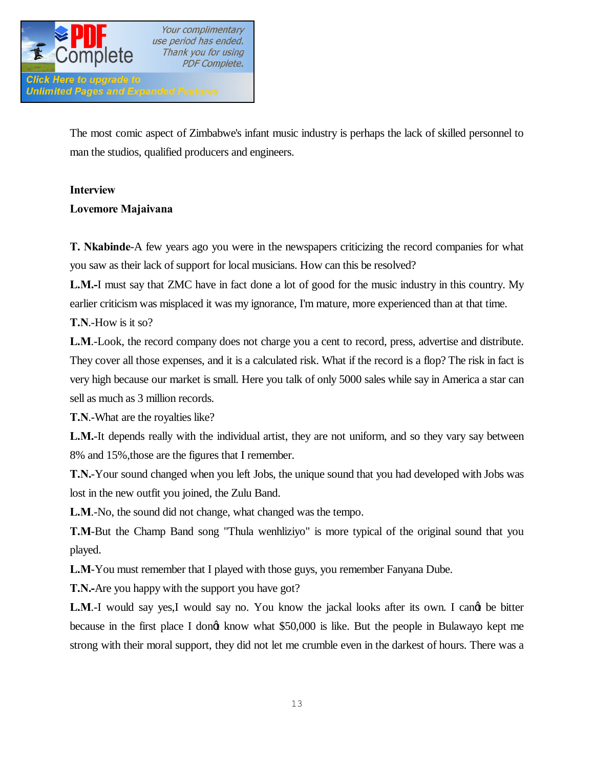

The most comic aspect of Zimbabwe's infant music industry is perhaps the lack of skilled personnel to man the studios, qualified producers and engineers.

# **Interview**

**Lovemore Majaivana**

**T. Nkabinde**-A few years ago you were in the newspapers criticizing the record companies for what you saw as their lack of support for local musicians. How can this be resolved?

**L.M.-**I must say that ZMC have in fact done a lot of good for the music industry in this country. My earlier criticism was misplaced it was my ignorance, I'm mature, more experienced than at that time.

**T.N**.-How is it so?

**L.M**.-Look, the record company does not charge you a cent to record, press, advertise and distribute. They cover all those expenses, and it is a calculated risk. What if the record is a flop? The risk in fact is very high because our market is small. Here you talk of only 5000 sales while say in America a star can sell as much as 3 million records.

**T.N**.-What are the royalties like?

**L.M.**-It depends really with the individual artist, they are not uniform, and so they vary say between 8% and 15%,those are the figures that I remember.

**T.N.**-Your sound changed when you left Jobs, the unique sound that you had developed with Jobs was lost in the new outfit you joined, the Zulu Band.

**L.M**.-No, the sound did not change, what changed was the tempo.

**T.M**-But the Champ Band song "Thula wenhliziyo" is more typical of the original sound that you played.

**L.M**-You must remember that I played with those guys, you remember Fanyana Dube.

**T.N.-**Are you happy with the support you have got?

**L.M.-I** would say yes,I would say no. You know the jackal looks after its own. I cand be bitter because in the first place I dongt know what \$50,000 is like. But the people in Bulawayo kept me strong with their moral support, they did not let me crumble even in the darkest of hours. There was a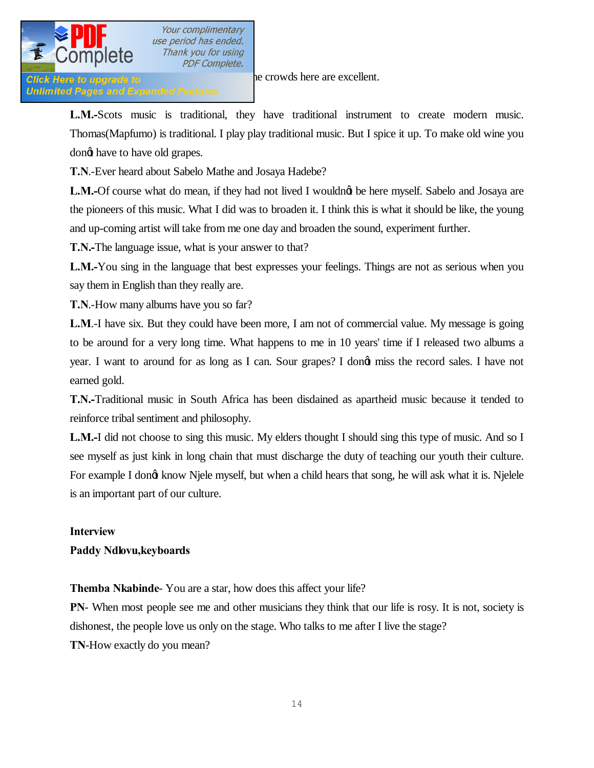

**Click Here to upgrade to I nearly abandoned excellent.** But the crowds here are excellent.

**Unlimited Pages and Expanded Features** 

**L.M.-**Scots music is traditional, they have traditional instrument to create modern music. Thomas(Mapfumo) is traditional. I play play traditional music. But I spice it up. To make old wine you dong have to have old grapes.

**T.N**.-Ever heard about Sabelo Mathe and Josaya Hadebe?

**L.M.-**Of course what do mean, if they had not lived I wouldng be here myself. Sabelo and Josaya are the pioneers of this music. What I did was to broaden it. I think this is what it should be like, the young and up-coming artist will take from me one day and broaden the sound, experiment further.

**T.N.-**The language issue, what is your answer to that?

**L.M.-**You sing in the language that best expresses your feelings. Things are not as serious when you say them in English than they really are.

**T.N**.-How many albums have you so far?

**L.M**.-I have six. But they could have been more, I am not of commercial value. My message is going to be around for a very long time. What happens to me in 10 years' time if I released two albums a year. I want to around for as long as I can. Sour grapes? I dong miss the record sales. I have not earned gold.

**T.N.-**Traditional music in South Africa has been disdained as apartheid music because it tended to reinforce tribal sentiment and philosophy.

**L.M.-**I did not choose to sing this music. My elders thought I should sing this type of music. And so I see myself as just kink in long chain that must discharge the duty of teaching our youth their culture. For example I dongt know Njele myself, but when a child hears that song, he will ask what it is. Njelele is an important part of our culture.

# **Interview**

# **Paddy Ndlovu,keyboards**

**Themba Nkabinde**- You are a star, how does this affect your life?

**PN**- When most people see me and other musicians they think that our life is rosy. It is not, society is dishonest, the people love us only on the stage. Who talks to me after I live the stage? **TN**-How exactly do you mean?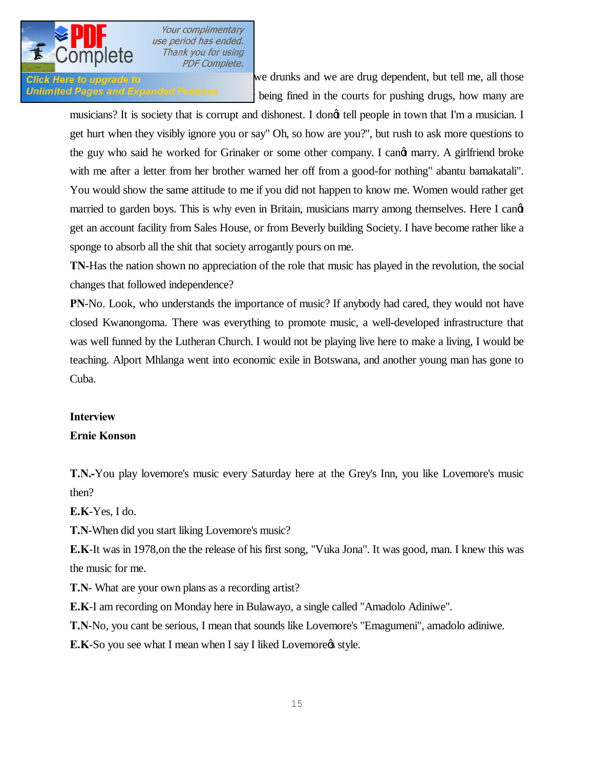

**PN-** Click Here to upgrade to **EXECLUS** we drunks and we are drug dependent, but tell me, all those **Unlimited Pages and Expanded Features**  $\cdot$  being fined in the courts for pushing drugs, how many are

musicians? It is society that is corrupt and dishonest. I dong tell people in town that I'm a musician. I get hurt when they visibly ignore you or say" Oh, so how are you?", but rush to ask more questions to the guy who said he worked for Grinaker or some other company. I cand marry. A girlfriend broke with me after a letter from her brother warned her off from a good-for nothing" abantu bamakatali". You would show the same attitude to me if you did not happen to know me. Women would rather get married to garden boys. This is why even in Britain, musicians marry among themselves. Here I cand get an account facility from Sales House, or from Beverly building Society. I have become rather like a sponge to absorb all the shit that society arrogantly pours on me.

**TN**-Has the nation shown no appreciation of the role that music has played in the revolution, the social changes that followed independence?

**PN**-No. Look, who understands the importance of music? If anybody had cared, they would not have closed Kwanongoma. There was everything to promote music, a well-developed infrastructure that was well funned by the Lutheran Church. I would not be playing live here to make a living, I would be teaching. Alport Mhlanga went into economic exile in Botswana, and another young man has gone to Cuba.

# **Interview**

# **Ernie Konson**

**T.N.-**You play lovemore's music every Saturday here at the Grey's Inn, you like Lovemore's music then?

**E.K**-Yes, I do.

**T.N**-When did you start liking Lovemore's music?

**E.K**-It was in 1978,on the the release of his first song, "Vuka Jona". It was good, man. I knew this was the music for me.

**T.N**- What are your own plans as a recording artist?

**E.K**-I am recording on Monday here in Bulawayo, a single called "Amadolo Adiniwe".

**T.N**-No, you cant be serious, I mean that sounds like Lovemore's "Emagumeni", amadolo adiniwe.

**E.K**-So you see what I mean when I say I liked Lovemore  $\phi$  style.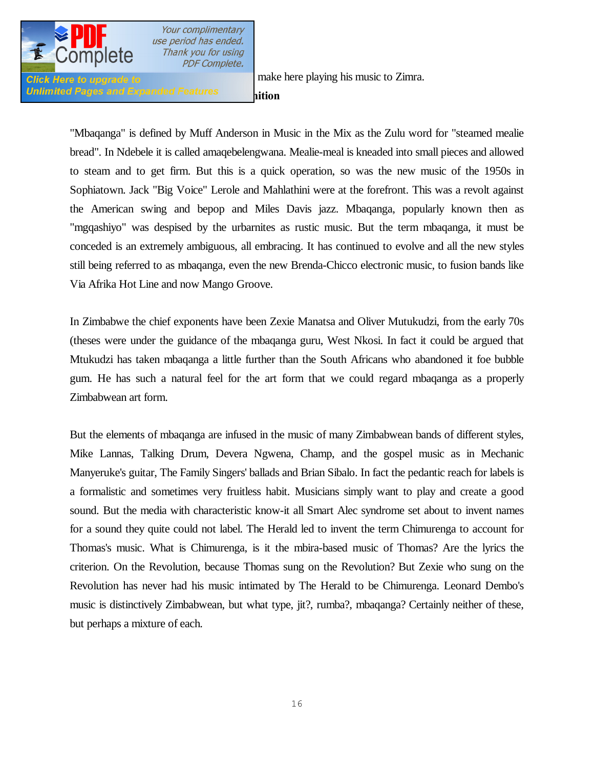

**Unlimited Pages and Expanded Features and in** 

Click Here to upgrade to **The money of the make here playing his music to Zimra**.

"Mbaqanga" is defined by Muff Anderson in Music in the Mix as the Zulu word for "steamed mealie bread". In Ndebele it is called amaqebelengwana. Mealie-meal is kneaded into small pieces and allowed to steam and to get firm. But this is a quick operation, so was the new music of the 1950s in Sophiatown. Jack "Big Voice" Lerole and Mahlathini were at the forefront. This was a revolt against the American swing and bepop and Miles Davis jazz. Mbaqanga, popularly known then as "mgqashiyo" was despised by the urbarnites as rustic music. But the term mbaqanga, it must be conceded is an extremely ambiguous, all embracing. It has continued to evolve and all the new styles still being referred to as mbaqanga, even the new Brenda-Chicco electronic music, to fusion bands like Via Afrika Hot Line and now Mango Groove.

In Zimbabwe the chief exponents have been Zexie Manatsa and Oliver Mutukudzi, from the early 70s (theses were under the guidance of the mbaqanga guru, West Nkosi. In fact it could be argued that Mtukudzi has taken mbaqanga a little further than the South Africans who abandoned it foe bubble gum. He has such a natural feel for the art form that we could regard mbaqanga as a properly Zimbabwean art form.

But the elements of mbaqanga are infused in the music of many Zimbabwean bands of different styles, Mike Lannas, Talking Drum, Devera Ngwena, Champ, and the gospel music as in Mechanic Manyeruke's guitar, The Family Singers' ballads and Brian Sibalo. In fact the pedantic reach for labels is a formalistic and sometimes very fruitless habit. Musicians simply want to play and create a good sound. But the media with characteristic know-it all Smart Alec syndrome set about to invent names for a sound they quite could not label. The Herald led to invent the term Chimurenga to account for Thomas's music. What is Chimurenga, is it the mbira-based music of Thomas? Are the lyrics the criterion. On the Revolution, because Thomas sung on the Revolution? But Zexie who sung on the Revolution has never had his music intimated by The Herald to be Chimurenga. Leonard Dembo's music is distinctively Zimbabwean, but what type, jit?, rumba?, mbaqanga? Certainly neither of these, but perhaps a mixture of each.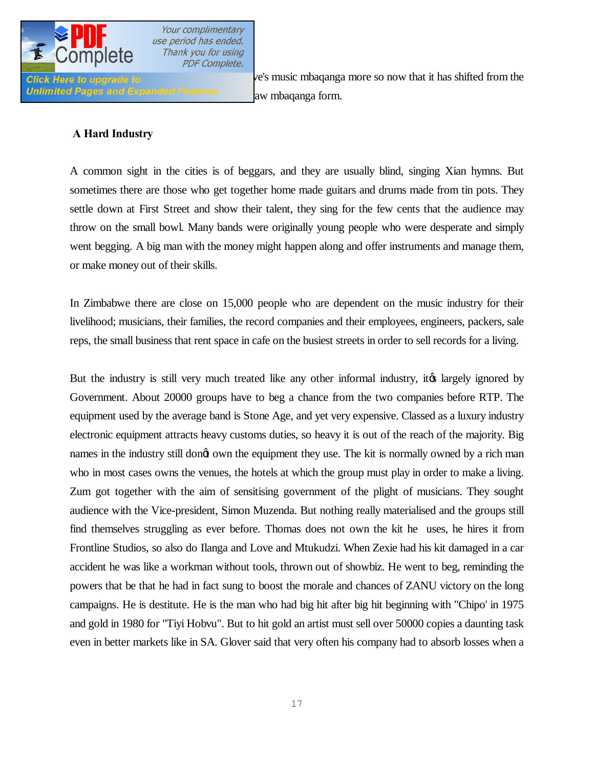

Unlimited Pages and Expanded Features **or a total and raw mbaqanga form.** 

**Click Here to upgrade to Exercise 20** ve's music mbaqanga more so now that it has shifted from the

## **A Hard Industry**

A common sight in the cities is of beggars, and they are usually blind, singing Xian hymns. But sometimes there are those who get together home made guitars and drums made from tin pots. They settle down at First Street and show their talent, they sing for the few cents that the audience may throw on the small bowl. Many bands were originally young people who were desperate and simply went begging. A big man with the money might happen along and offer instruments and manage them, or make money out of their skills.

In Zimbabwe there are close on 15,000 people who are dependent on the music industry for their livelihood; musicians, their families, the record companies and their employees, engineers, packers, sale reps, the small business that rent space in cafe on the busiest streets in order to sell records for a living.

But the industry is still very much treated like any other informal industry, it tas largely ignored by Government. About 20000 groups have to beg a chance from the two companies before RTP. The equipment used by the average band is Stone Age, and yet very expensive. Classed as a luxury industry electronic equipment attracts heavy customs duties, so heavy it is out of the reach of the majority. Big names in the industry still dongt own the equipment they use. The kit is normally owned by a rich man who in most cases owns the venues, the hotels at which the group must play in order to make a living. Zum got together with the aim of sensitising government of the plight of musicians. They sought audience with the Vice-president, Simon Muzenda. But nothing really materialised and the groups still find themselves struggling as ever before. Thomas does not own the kit he uses, he hires it from Frontline Studios, so also do Ilanga and Love and Mtukudzi. When Zexie had his kit damaged in a car accident he was like a workman without tools, thrown out of showbiz. He went to beg, reminding the powers that be that he had in fact sung to boost the morale and chances of ZANU victory on the long campaigns. He is destitute. He is the man who had big hit after big hit beginning with "Chipo' in 1975 and gold in 1980 for "Tiyi Hobvu". But to hit gold an artist must sell over 50000 copies a daunting task even in better markets like in SA. Glover said that very often his company had to absorb losses when a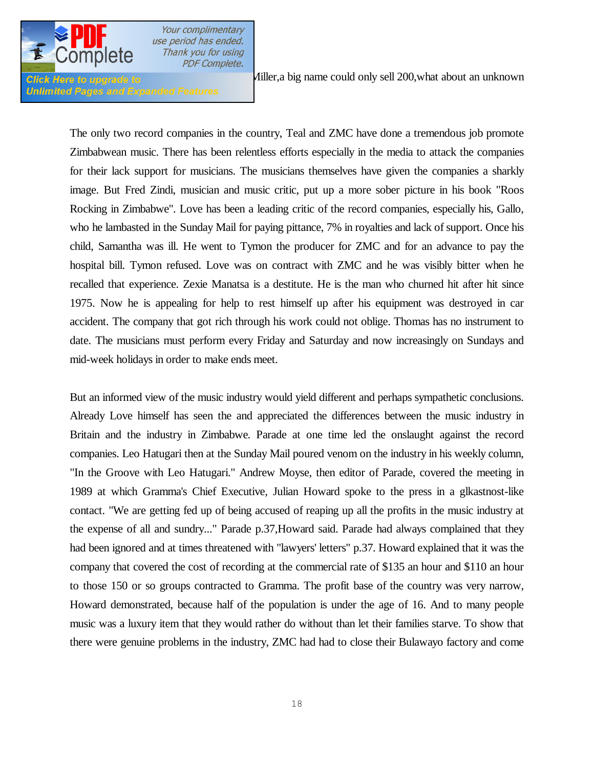

**Unlimited Pages and Expand** 

Your complimentary use period has ended. Thank you for using **PDF Complete.** 

**Click Here to upgrade to** *Ailler, a big name could only sell 200, what about an unknown* 

The only two record companies in the country, Teal and ZMC have done a tremendous job promote Zimbabwean music. There has been relentless efforts especially in the media to attack the companies for their lack support for musicians. The musicians themselves have given the companies a sharkly image. But Fred Zindi, musician and music critic, put up a more sober picture in his book "Roos Rocking in Zimbabwe". Love has been a leading critic of the record companies, especially his, Gallo, who he lambasted in the Sunday Mail for paying pittance, 7% in royalties and lack of support. Once his child, Samantha was ill. He went to Tymon the producer for ZMC and for an advance to pay the hospital bill. Tymon refused. Love was on contract with ZMC and he was visibly bitter when he recalled that experience. Zexie Manatsa is a destitute. He is the man who churned hit after hit since 1975. Now he is appealing for help to rest himself up after his equipment was destroyed in car accident. The company that got rich through his work could not oblige. Thomas has no instrument to date. The musicians must perform every Friday and Saturday and now increasingly on Sundays and mid-week holidays in order to make ends meet.

But an informed view of the music industry would yield different and perhaps sympathetic conclusions. Already Love himself has seen the and appreciated the differences between the music industry in Britain and the industry in Zimbabwe. Parade at one time led the onslaught against the record companies. Leo Hatugari then at the Sunday Mail poured venom on the industry in his weekly column, "In the Groove with Leo Hatugari." Andrew Moyse, then editor of Parade, covered the meeting in 1989 at which Gramma's Chief Executive, Julian Howard spoke to the press in a glkastnost-like contact. "We are getting fed up of being accused of reaping up all the profits in the music industry at the expense of all and sundry..." Parade p.37,Howard said. Parade had always complained that they had been ignored and at times threatened with "lawyers' letters" p.37. Howard explained that it was the company that covered the cost of recording at the commercial rate of \$135 an hour and \$110 an hour to those 150 or so groups contracted to Gramma. The profit base of the country was very narrow, Howard demonstrated, because half of the population is under the age of 16. And to many people music was a luxury item that they would rather do without than let their families starve. To show that there were genuine problems in the industry, ZMC had had to close their Bulawayo factory and come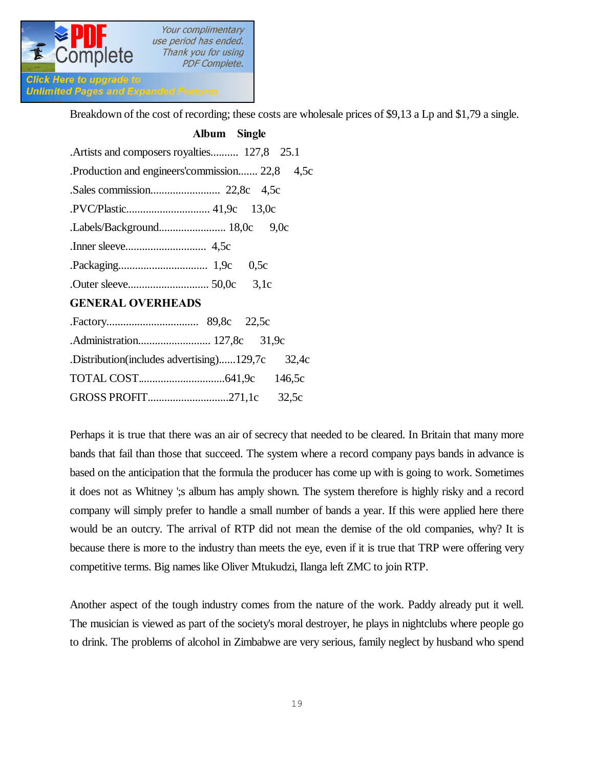

**Unlimited Pages and Expanded Features** 

Breakdown of the cost of recording; these costs are wholesale prices of \$9,13 a Lp and \$1,79 a single.

| Album Single                                   |
|------------------------------------------------|
| . Artists and composers royalties 127,8 25.1   |
| Production and engineers' commission 22,8 4,5c |
|                                                |
|                                                |
|                                                |
|                                                |
| 0.5c                                           |
|                                                |

# **GENERAL OVERHEADS**

| Distribution (includes advertising)129,7c 32,4c |  |  |
|-------------------------------------------------|--|--|
|                                                 |  |  |
|                                                 |  |  |
|                                                 |  |  |

Perhaps it is true that there was an air of secrecy that needed to be cleared. In Britain that many more bands that fail than those that succeed. The system where a record company pays bands in advance is based on the anticipation that the formula the producer has come up with is going to work. Sometimes it does not as Whitney ';s album has amply shown. The system therefore is highly risky and a record company will simply prefer to handle a small number of bands a year. If this were applied here there would be an outcry. The arrival of RTP did not mean the demise of the old companies, why? It is because there is more to the industry than meets the eye, even if it is true that TRP were offering very competitive terms. Big names like Oliver Mtukudzi, Ilanga left ZMC to join RTP.

Another aspect of the tough industry comes from the nature of the work. Paddy already put it well. The musician is viewed as part of the society's moral destroyer, he plays in nightclubs where people go to drink. The problems of alcohol in Zimbabwe are very serious, family neglect by husband who spend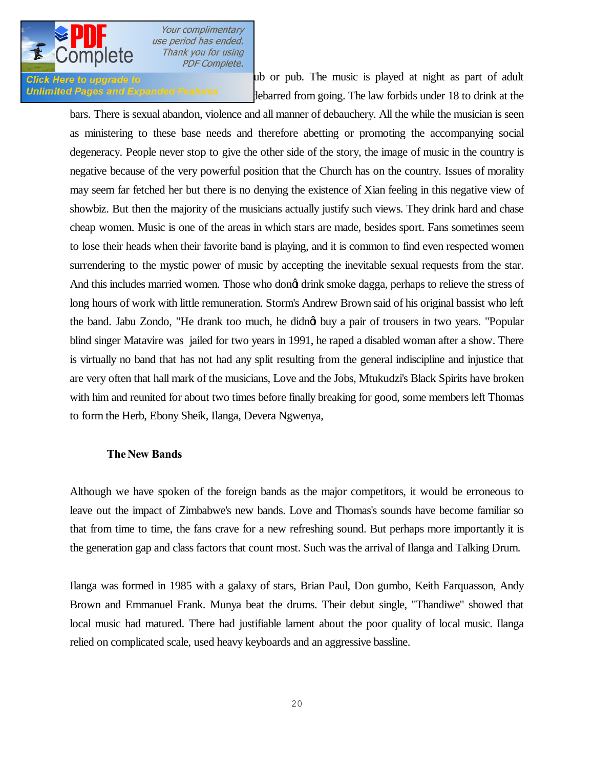

**Click Here to upgrade to non- one of a set of a set of a set of a set of a set of adult** Unlimited Pages and Expanded Features debarred from going. The law forbids under 18 to drink at the

bars. There is sexual abandon, violence and all manner of debauchery. All the while the musician is seen as ministering to these base needs and therefore abetting or promoting the accompanying social degeneracy. People never stop to give the other side of the story, the image of music in the country is negative because of the very powerful position that the Church has on the country. Issues of morality may seem far fetched her but there is no denying the existence of Xian feeling in this negative view of showbiz. But then the majority of the musicians actually justify such views. They drink hard and chase cheap women. Music is one of the areas in which stars are made, besides sport. Fans sometimes seem to lose their heads when their favorite band is playing, and it is common to find even respected women surrendering to the mystic power of music by accepting the inevitable sexual requests from the star. And this includes married women. Those who dong drink smoke dagga, perhaps to relieve the stress of long hours of work with little remuneration. Storm's Andrew Brown said of his original bassist who left the band. Jabu Zondo, "He drank too much, he didnet buy a pair of trousers in two years. "Popular blind singer Matavire was jailed for two years in 1991, he raped a disabled woman after a show. There is virtually no band that has not had any split resulting from the general indiscipline and injustice that are very often that hall mark of the musicians, Love and the Jobs, Mtukudzi's Black Spirits have broken with him and reunited for about two times before finally breaking for good, some members left Thomas to form the Herb, Ebony Sheik, Ilanga, Devera Ngwenya,

#### **The New Bands**

Although we have spoken of the foreign bands as the major competitors, it would be erroneous to leave out the impact of Zimbabwe's new bands. Love and Thomas's sounds have become familiar so that from time to time, the fans crave for a new refreshing sound. But perhaps more importantly it is the generation gap and class factors that count most. Such was the arrival of Ilanga and Talking Drum.

Ilanga was formed in 1985 with a galaxy of stars, Brian Paul, Don gumbo, Keith Farquasson, Andy Brown and Emmanuel Frank. Munya beat the drums. Their debut single, "Thandiwe" showed that local music had matured. There had justifiable lament about the poor quality of local music. Ilanga relied on complicated scale, used heavy keyboards and an aggressive bassline.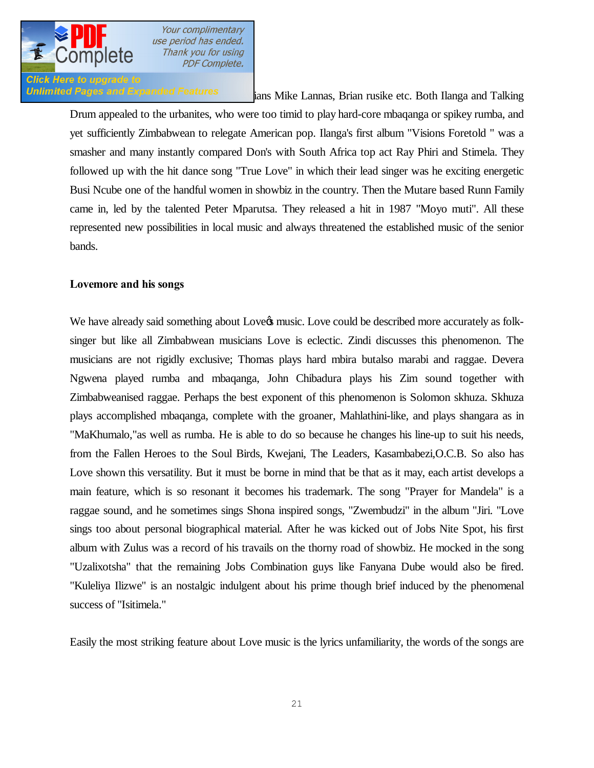

# **Click Here to upgrade to**

Unlimited Pages and Expanded Features ians Mike Lannas, Brian rusike etc. Both Ilanga and Talking

Drum appealed to the urbanites, who were too timid to play hard-core mbaqanga or spikey rumba, and yet sufficiently Zimbabwean to relegate American pop. Ilanga's first album "Visions Foretold " was a smasher and many instantly compared Don's with South Africa top act Ray Phiri and Stimela. They followed up with the hit dance song "True Love" in which their lead singer was he exciting energetic Busi Ncube one of the handful women in showbiz in the country. Then the Mutare based Runn Family came in, led by the talented Peter Mparutsa. They released a hit in 1987 "Moyo muti". All these represented new possibilities in local music and always threatened the established music of the senior bands.

### **Lovemore and his songs**

We have already said something about Love<sub>n</sub> music. Love could be described more accurately as folksinger but like all Zimbabwean musicians Love is eclectic. Zindi discusses this phenomenon. The musicians are not rigidly exclusive; Thomas plays hard mbira butalso marabi and raggae. Devera Ngwena played rumba and mbaqanga, John Chibadura plays his Zim sound together with Zimbabweanised raggae. Perhaps the best exponent of this phenomenon is Solomon skhuza. Skhuza plays accomplished mbaqanga, complete with the groaner, Mahlathini-like, and plays shangara as in "MaKhumalo,"as well as rumba. He is able to do so because he changes his line-up to suit his needs, from the Fallen Heroes to the Soul Birds, Kwejani, The Leaders, Kasambabezi,O.C.B. So also has Love shown this versatility. But it must be borne in mind that be that as it may, each artist develops a main feature, which is so resonant it becomes his trademark. The song "Prayer for Mandela" is a raggae sound, and he sometimes sings Shona inspired songs, "Zwembudzi" in the album "Jiri. "Love sings too about personal biographical material. After he was kicked out of Jobs Nite Spot, his first album with Zulus was a record of his travails on the thorny road of showbiz. He mocked in the song "Uzalixotsha" that the remaining Jobs Combination guys like Fanyana Dube would also be fired. "Kuleliya Ilizwe" is an nostalgic indulgent about his prime though brief induced by the phenomenal success of "Isitimela."

Easily the most striking feature about Love music is the lyrics unfamiliarity, the words of the songs are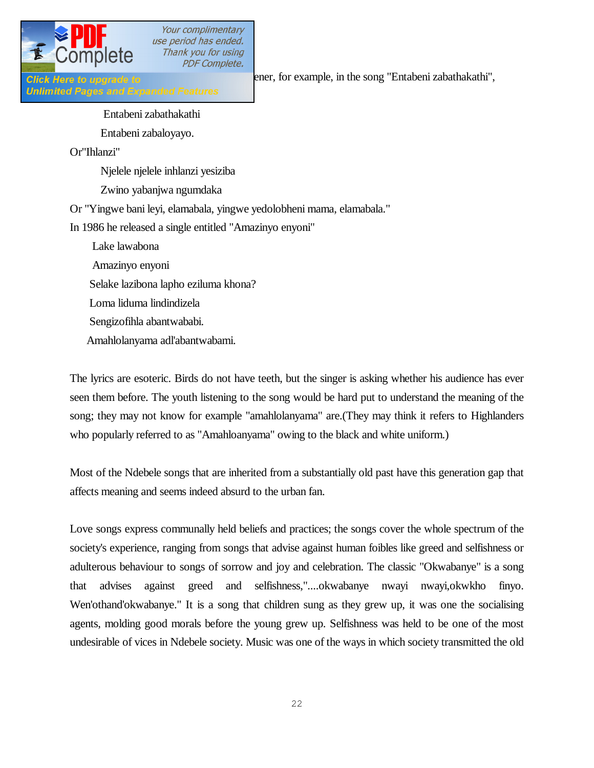

**Unlimited Pages and Expanded Features** 

Click Here to upgrade to the early ener, for example, in the song "Entabeni zabathakathi",

 Entabeni zabathakathi Entabeni zabaloyayo. Or"Ihlanzi"

Njelele njelele inhlanzi yesiziba

Zwino yabanjwa ngumdaka

Or "Yingwe bani leyi, elamabala, yingwe yedolobheni mama, elamabala."

In 1986 he released a single entitled "Amazinyo enyoni"

- Lake lawabona
- Amazinyo enyoni

Selake lazibona lapho eziluma khona?

- Loma liduma lindindizela
- Sengizofihla abantwababi.
- Amahlolanyama adl'abantwabami.

The lyrics are esoteric. Birds do not have teeth, but the singer is asking whether his audience has ever seen them before. The youth listening to the song would be hard put to understand the meaning of the song; they may not know for example "amahlolanyama" are.(They may think it refers to Highlanders who popularly referred to as "Amahloanyama" owing to the black and white uniform.)

Most of the Ndebele songs that are inherited from a substantially old past have this generation gap that affects meaning and seems indeed absurd to the urban fan.

Love songs express communally held beliefs and practices; the songs cover the whole spectrum of the society's experience, ranging from songs that advise against human foibles like greed and selfishness or adulterous behaviour to songs of sorrow and joy and celebration. The classic "Okwabanye" is a song that advises against greed and selfishness,"....okwabanye nwayi nwayi,okwkho finyo. Wen'othand'okwabanye." It is a song that children sung as they grew up, it was one the socialising agents, molding good morals before the young grew up. Selfishness was held to be one of the most undesirable of vices in Ndebele society. Music was one of the ways in which society transmitted the old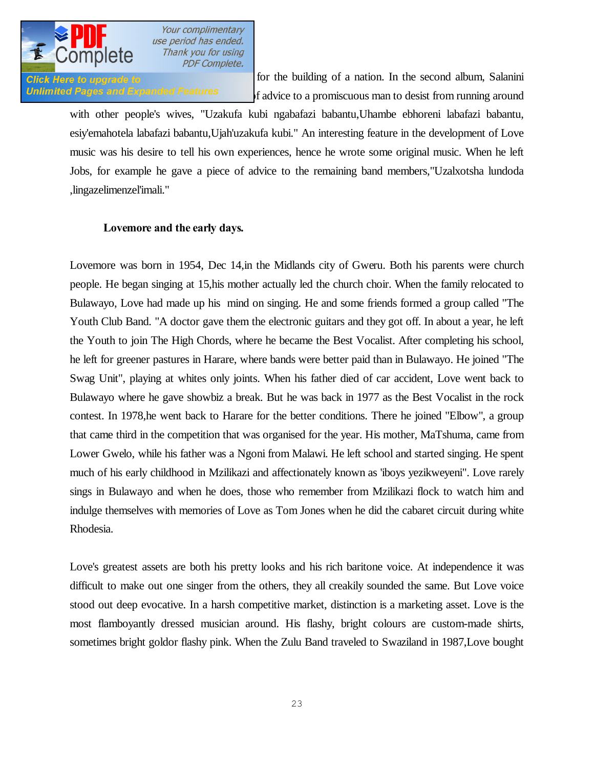

Glick Here to upgrade to **value of a necessary for the building** of a nation. In the second album, Salanini Unlimited Pages and Expanded Features of advice to a promiscuous man to desist from running around

with other people's wives, "Uzakufa kubi ngabafazi babantu,Uhambe ebhoreni labafazi babantu, esiy'emahotela labafazi babantu,Ujah'uzakufa kubi." An interesting feature in the development of Love music was his desire to tell his own experiences, hence he wrote some original music. When he left Jobs, for example he gave a piece of advice to the remaining band members,"Uzalxotsha lundoda ,lingazelimenzel'imali."

### **Lovemore and the early days.**

Lovemore was born in 1954, Dec 14,in the Midlands city of Gweru. Both his parents were church people. He began singing at 15,his mother actually led the church choir. When the family relocated to Bulawayo, Love had made up his mind on singing. He and some friends formed a group called "The Youth Club Band. "A doctor gave them the electronic guitars and they got off. In about a year, he left the Youth to join The High Chords, where he became the Best Vocalist. After completing his school, he left for greener pastures in Harare, where bands were better paid than in Bulawayo. He joined "The Swag Unit", playing at whites only joints. When his father died of car accident, Love went back to Bulawayo where he gave showbiz a break. But he was back in 1977 as the Best Vocalist in the rock contest. In 1978,he went back to Harare for the better conditions. There he joined "Elbow", a group that came third in the competition that was organised for the year. His mother, MaTshuma, came from Lower Gwelo, while his father was a Ngoni from Malawi. He left school and started singing. He spent much of his early childhood in Mzilikazi and affectionately known as 'iboys yezikweyeni". Love rarely sings in Bulawayo and when he does, those who remember from Mzilikazi flock to watch him and indulge themselves with memories of Love as Tom Jones when he did the cabaret circuit during white Rhodesia.

Love's greatest assets are both his pretty looks and his rich baritone voice. At independence it was difficult to make out one singer from the others, they all creakily sounded the same. But Love voice stood out deep evocative. In a harsh competitive market, distinction is a marketing asset. Love is the most flamboyantly dressed musician around. His flashy, bright colours are custom-made shirts, sometimes bright goldor flashy pink. When the Zulu Band traveled to Swaziland in 1987,Love bought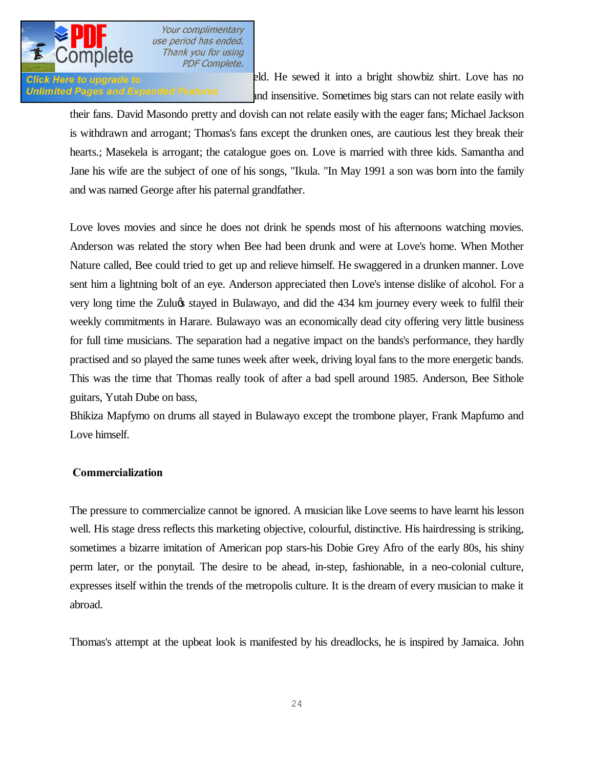

**Click Here to upgrade to Swarte Shield.** He sewed it into a bright showbiz shirt. Love has no Unlimited Pages and Expanded Features and insensitive. Sometimes big stars can not relate easily with

their fans. David Masondo pretty and dovish can not relate easily with the eager fans; Michael Jackson is withdrawn and arrogant; Thomas's fans except the drunken ones, are cautious lest they break their hearts.; Masekela is arrogant; the catalogue goes on. Love is married with three kids. Samantha and Jane his wife are the subject of one of his songs, "Ikula. "In May 1991 a son was born into the family and was named George after his paternal grandfather.

Love loves movies and since he does not drink he spends most of his afternoons watching movies. Anderson was related the story when Bee had been drunk and were at Love's home. When Mother Nature called, Bee could tried to get up and relieve himself. He swaggered in a drunken manner. Love sent him a lightning bolt of an eye. Anderson appreciated then Love's intense dislike of alcohol. For a very long time the Zulu $\alpha$  stayed in Bulawayo, and did the 434 km journey every week to fulfil their weekly commitments in Harare. Bulawayo was an economically dead city offering very little business for full time musicians. The separation had a negative impact on the bands's performance, they hardly practised and so played the same tunes week after week, driving loyal fans to the more energetic bands. This was the time that Thomas really took of after a bad spell around 1985. Anderson, Bee Sithole guitars, Yutah Dube on bass,

Bhikiza Mapfymo on drums all stayed in Bulawayo except the trombone player, Frank Mapfumo and Love himself.

#### **Commercialization**

The pressure to commercialize cannot be ignored. A musician like Love seems to have learnt his lesson well. His stage dress reflects this marketing objective, colourful, distinctive. His hairdressing is striking, sometimes a bizarre imitation of American pop stars-his Dobie Grey Afro of the early 80s, his shiny perm later, or the ponytail. The desire to be ahead, in-step, fashionable, in a neo-colonial culture, expresses itself within the trends of the metropolis culture. It is the dream of every musician to make it abroad.

Thomas's attempt at the upbeat look is manifested by his dreadlocks, he is inspired by Jamaica. John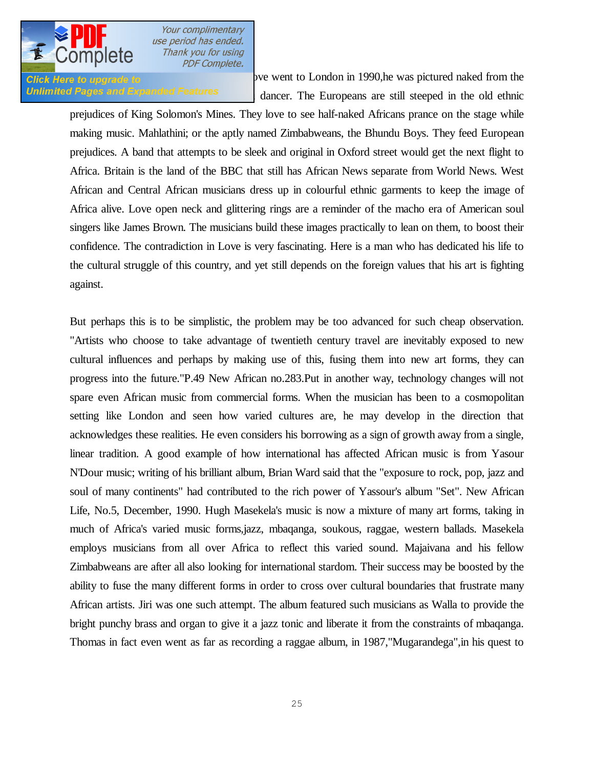

Chick Here to upgrade to **Chick** Here to upgrade to **London** in 1990,he was pictured naked from the Unlimited Pages and Expanded Features dancer. The Europeans are still steeped in the old ethnic

prejudices of King Solomon's Mines. They love to see half-naked Africans prance on the stage while making music. Mahlathini; or the aptly named Zimbabweans, the Bhundu Boys. They feed European prejudices. A band that attempts to be sleek and original in Oxford street would get the next flight to Africa. Britain is the land of the BBC that still has African News separate from World News. West African and Central African musicians dress up in colourful ethnic garments to keep the image of Africa alive. Love open neck and glittering rings are a reminder of the macho era of American soul singers like James Brown. The musicians build these images practically to lean on them, to boost their confidence. The contradiction in Love is very fascinating. Here is a man who has dedicated his life to the cultural struggle of this country, and yet still depends on the foreign values that his art is fighting against.

But perhaps this is to be simplistic, the problem may be too advanced for such cheap observation. "Artists who choose to take advantage of twentieth century travel are inevitably exposed to new cultural influences and perhaps by making use of this, fusing them into new art forms, they can progress into the future."P.49 New African no.283.Put in another way, technology changes will not spare even African music from commercial forms. When the musician has been to a cosmopolitan setting like London and seen how varied cultures are, he may develop in the direction that acknowledges these realities. He even considers his borrowing as a sign of growth away from a single, linear tradition. A good example of how international has affected African music is from Yasour N'Dour music; writing of his brilliant album, Brian Ward said that the "exposure to rock, pop, jazz and soul of many continents" had contributed to the rich power of Yassour's album "Set". New African Life, No.5, December, 1990. Hugh Masekela's music is now a mixture of many art forms, taking in much of Africa's varied music forms,jazz, mbaqanga, soukous, raggae, western ballads. Masekela employs musicians from all over Africa to reflect this varied sound. Majaivana and his fellow Zimbabweans are after all also looking for international stardom. Their success may be boosted by the ability to fuse the many different forms in order to cross over cultural boundaries that frustrate many African artists. Jiri was one such attempt. The album featured such musicians as Walla to provide the bright punchy brass and organ to give it a jazz tonic and liberate it from the constraints of mbaqanga. Thomas in fact even went as far as recording a raggae album, in 1987,"Mugarandega",in his quest to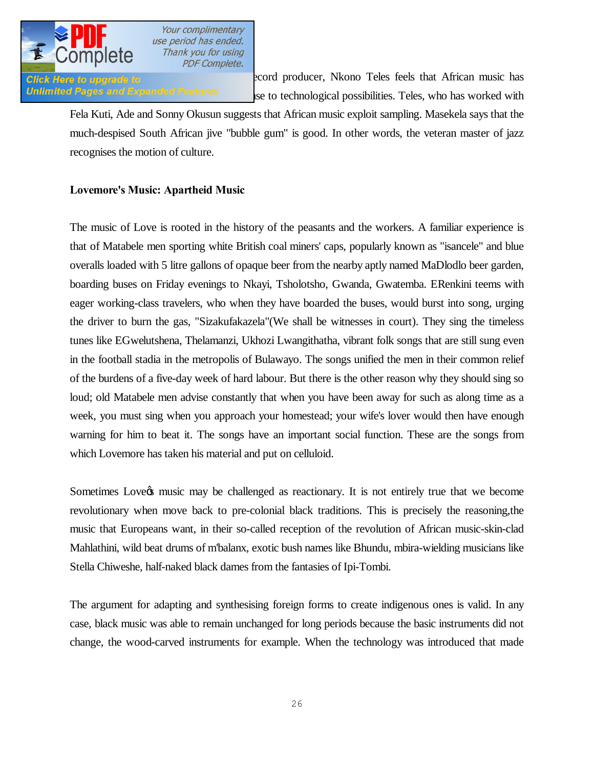

**Click Here to upgrade to Exercise 2008** 2007 2007 2008 2007, Nkono Teles feels that African music has Unlimited Pages and Expanded Features is to technological possibilities. Teles, who has worked with

Fela Kuti, Ade and Sonny Okusun suggests that African music exploit sampling. Masekela says that the much-despised South African jive "bubble gum" is good. In other words, the veteran master of jazz recognises the motion of culture.

## **Lovemore's Music: Apartheid Music**

The music of Love is rooted in the history of the peasants and the workers. A familiar experience is that of Matabele men sporting white British coal miners' caps, popularly known as "isancele" and blue overalls loaded with 5 litre gallons of opaque beer from the nearby aptly named MaDlodlo beer garden, boarding buses on Friday evenings to Nkayi, Tsholotsho, Gwanda, Gwatemba. ERenkini teems with eager working-class travelers, who when they have boarded the buses, would burst into song, urging the driver to burn the gas, "Sizakufakazela"(We shall be witnesses in court). They sing the timeless tunes like EGwelutshena, Thelamanzi, Ukhozi Lwangithatha, vibrant folk songs that are still sung even in the football stadia in the metropolis of Bulawayo. The songs unified the men in their common relief of the burdens of a five-day week of hard labour. But there is the other reason why they should sing so loud; old Matabele men advise constantly that when you have been away for such as along time as a week, you must sing when you approach your homestead; your wife's lover would then have enough warning for him to beat it. The songs have an important social function. These are the songs from which Lovemore has taken his material and put on celluloid.

Sometimes Love  $\alpha$  music may be challenged as reactionary. It is not entirely true that we become revolutionary when move back to pre-colonial black traditions. This is precisely the reasoning,the music that Europeans want, in their so-called reception of the revolution of African music-skin-clad Mahlathini, wild beat drums of m'balanx, exotic bush names like Bhundu, mbira-wielding musicians like Stella Chiweshe, half-naked black dames from the fantasies of Ipi-Tombi.

The argument for adapting and synthesising foreign forms to create indigenous ones is valid. In any case, black music was able to remain unchanged for long periods because the basic instruments did not change, the wood-carved instruments for example. When the technology was introduced that made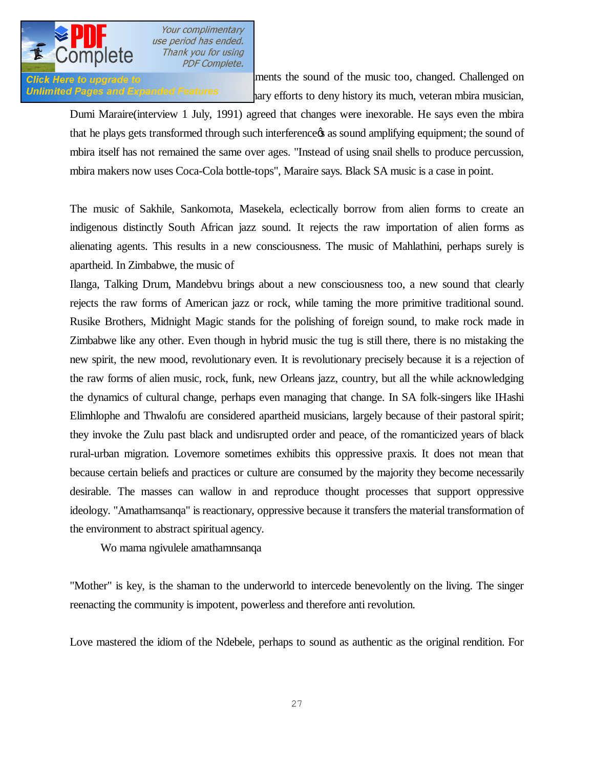

**Click Here to upgrade to production of the sound of the music too, changed. Challenged on** Unlimited Pages and Expanded Features and in type efforts to deny history its much, veteran mbira musician,

Dumi Maraire(interview 1 July, 1991) agreed that changes were inexorable. He says even the mbira that he plays gets transformed through such interference as sound amplifying equipment; the sound of mbira itself has not remained the same over ages. "Instead of using snail shells to produce percussion, mbira makers now uses Coca-Cola bottle-tops", Maraire says. Black SA music is a case in point.

The music of Sakhile, Sankomota, Masekela, eclectically borrow from alien forms to create an indigenous distinctly South African jazz sound. It rejects the raw importation of alien forms as alienating agents. This results in a new consciousness. The music of Mahlathini, perhaps surely is apartheid. In Zimbabwe, the music of

Ilanga, Talking Drum, Mandebvu brings about a new consciousness too, a new sound that clearly rejects the raw forms of American jazz or rock, while taming the more primitive traditional sound. Rusike Brothers, Midnight Magic stands for the polishing of foreign sound, to make rock made in Zimbabwe like any other. Even though in hybrid music the tug is still there, there is no mistaking the new spirit, the new mood, revolutionary even. It is revolutionary precisely because it is a rejection of the raw forms of alien music, rock, funk, new Orleans jazz, country, but all the while acknowledging the dynamics of cultural change, perhaps even managing that change. In SA folk-singers like IHashi Elimhlophe and Thwalofu are considered apartheid musicians, largely because of their pastoral spirit; they invoke the Zulu past black and undisrupted order and peace, of the romanticized years of black rural-urban migration. Lovemore sometimes exhibits this oppressive praxis. It does not mean that because certain beliefs and practices or culture are consumed by the majority they become necessarily desirable. The masses can wallow in and reproduce thought processes that support oppressive ideology. "Amathamsanqa" is reactionary, oppressive because it transfers the material transformation of the environment to abstract spiritual agency.

Wo mama ngivulele amathamnsanqa

"Mother" is key, is the shaman to the underworld to intercede benevolently on the living. The singer reenacting the community is impotent, powerless and therefore anti revolution.

Love mastered the idiom of the Ndebele, perhaps to sound as authentic as the original rendition. For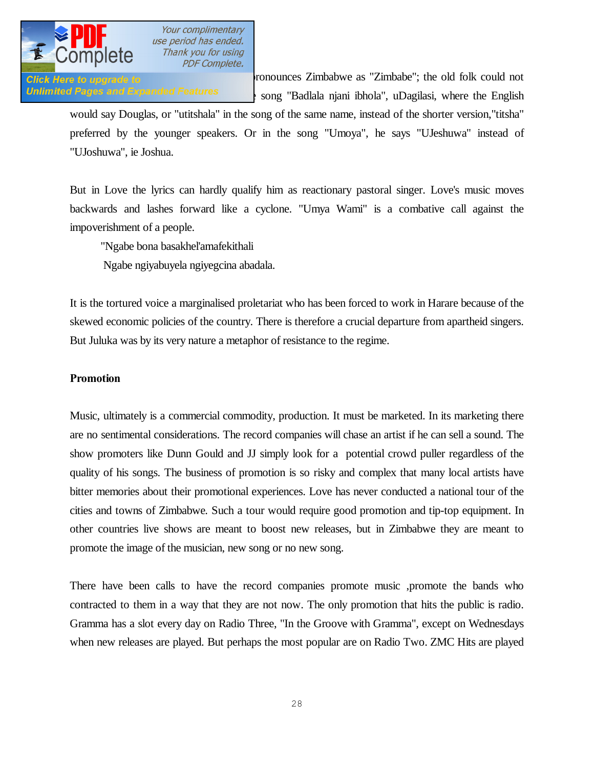

**Click Here to upgrade to** The Tunneer of Tunneers Zimbabwe as "Zimbabe"; the old folk could not Unlimited Pages and Expanded Features : song "Badlala njani ibhola", uDagilasi, where the English

would say Douglas, or "utitshala" in the song of the same name, instead of the shorter version,"titsha" preferred by the younger speakers. Or in the song "Umoya", he says "UJeshuwa" instead of "UJoshuwa", ie Joshua.

But in Love the lyrics can hardly qualify him as reactionary pastoral singer. Love's music moves backwards and lashes forward like a cyclone. "Umya Wami" is a combative call against the impoverishment of a people.

"Ngabe bona basakhel'amafekithali

Ngabe ngiyabuyela ngiyegcina abadala.

It is the tortured voice a marginalised proletariat who has been forced to work in Harare because of the skewed economic policies of the country. There is therefore a crucial departure from apartheid singers. But Juluka was by its very nature a metaphor of resistance to the regime.

## **Promotion**

Music, ultimately is a commercial commodity, production. It must be marketed. In its marketing there are no sentimental considerations. The record companies will chase an artist if he can sell a sound. The show promoters like Dunn Gould and JJ simply look for a potential crowd puller regardless of the quality of his songs. The business of promotion is so risky and complex that many local artists have bitter memories about their promotional experiences. Love has never conducted a national tour of the cities and towns of Zimbabwe. Such a tour would require good promotion and tip-top equipment. In other countries live shows are meant to boost new releases, but in Zimbabwe they are meant to promote the image of the musician, new song or no new song.

There have been calls to have the record companies promote music ,promote the bands who contracted to them in a way that they are not now. The only promotion that hits the public is radio. Gramma has a slot every day on Radio Three, "In the Groove with Gramma", except on Wednesdays when new releases are played. But perhaps the most popular are on Radio Two. ZMC Hits are played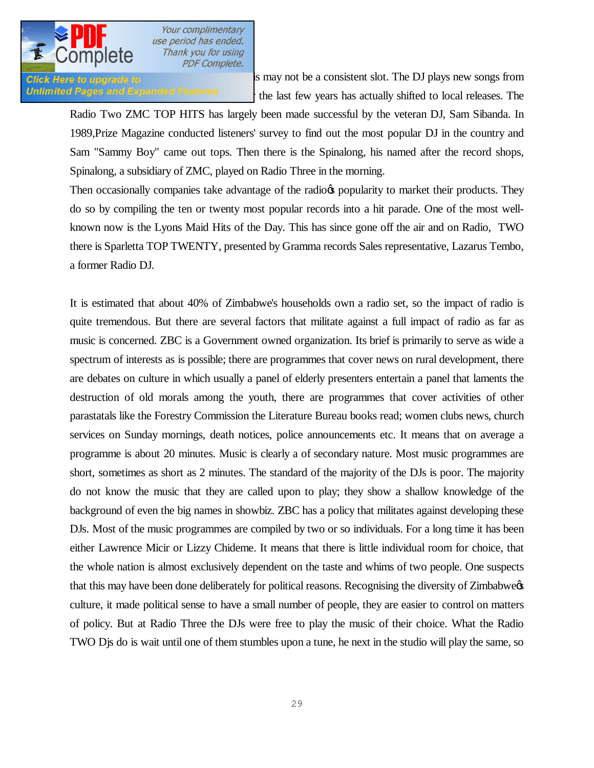

**Click Here to upgrade to Support the Sundays is may not be a consistent slot. The DJ plays new songs from** Unlimited Pages and Expanded Features the last few years has actually shifted to local releases. The

Radio Two ZMC TOP HITS has largely been made successful by the veteran DJ, Sam Sibanda. In 1989,Prize Magazine conducted listeners' survey to find out the most popular DJ in the country and Sam "Sammy Boy" came out tops. Then there is the Spinalong, his named after the record shops, Spinalong, a subsidiary of ZMC, played on Radio Three in the morning.

Then occasionally companies take advantage of the radio<sub>n</sub> popularity to market their products. They do so by compiling the ten or twenty most popular records into a hit parade. One of the most wellknown now is the Lyons Maid Hits of the Day. This has since gone off the air and on Radio, TWO there is Sparletta TOP TWENTY, presented by Gramma records Sales representative, Lazarus Tembo, a former Radio DJ.

It is estimated that about 40% of Zimbabwe's households own a radio set, so the impact of radio is quite tremendous. But there are several factors that militate against a full impact of radio as far as music is concerned. ZBC is a Government owned organization. Its brief is primarily to serve as wide a spectrum of interests as is possible; there are programmes that cover news on rural development, there are debates on culture in which usually a panel of elderly presenters entertain a panel that laments the destruction of old morals among the youth, there are programmes that cover activities of other parastatals like the Forestry Commission the Literature Bureau books read; women clubs news, church services on Sunday mornings, death notices, police announcements etc. It means that on average a programme is about 20 minutes. Music is clearly a of secondary nature. Most music programmes are short, sometimes as short as 2 minutes. The standard of the majority of the DJs is poor. The majority do not know the music that they are called upon to play; they show a shallow knowledge of the background of even the big names in showbiz. ZBC has a policy that militates against developing these DJs. Most of the music programmes are compiled by two or so individuals. For a long time it has been either Lawrence Micir or Lizzy Chideme. It means that there is little individual room for choice, that the whole nation is almost exclusively dependent on the taste and whims of two people. One suspects that this may have been done deliberately for political reasons. Recognising the diversity of Zimbabwees culture, it made political sense to have a small number of people, they are easier to control on matters of policy. But at Radio Three the DJs were free to play the music of their choice. What the Radio TWO Djs do is wait until one of them stumbles upon a tune, he next in the studio will play the same, so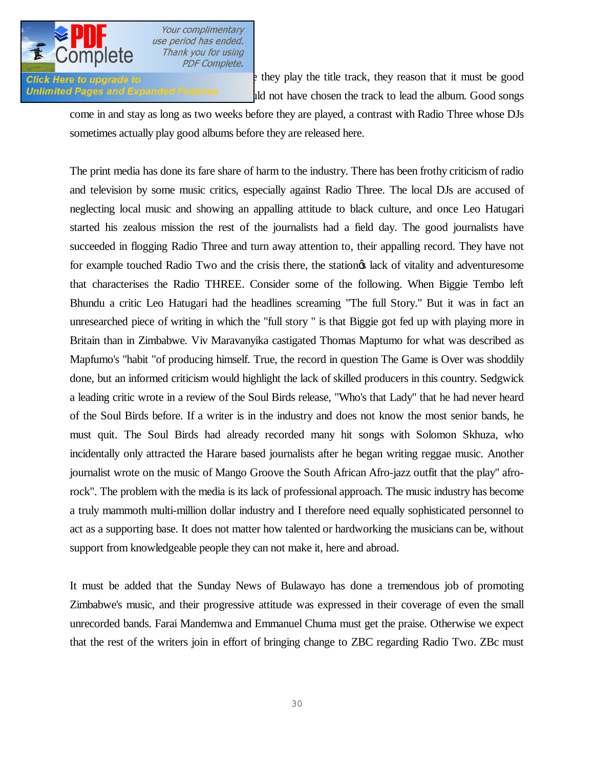

**Click Here to upgrade to**  $\cdot$  they play the title track, they reason that it must be good Unlimited Pages and Expanded Features and id not have chosen the track to lead the album. Good songs

come in and stay as long as two weeks before they are played, a contrast with Radio Three whose DJs sometimes actually play good albums before they are released here.

The print media has done its fare share of harm to the industry. There has been frothy criticism of radio and television by some music critics, especially against Radio Three. The local DJs are accused of neglecting local music and showing an appalling attitude to black culture, and once Leo Hatugari started his zealous mission the rest of the journalists had a field day. The good journalists have succeeded in flogging Radio Three and turn away attention to, their appalling record. They have not for example touched Radio Two and the crisis there, the station take of vitality and adventuresome that characterises the Radio THREE. Consider some of the following. When Biggie Tembo left Bhundu a critic Leo Hatugari had the headlines screaming "The full Story." But it was in fact an unresearched piece of writing in which the "full story " is that Biggie got fed up with playing more in Britain than in Zimbabwe. Viv Maravanyika castigated Thomas Maptumo for what was described as Mapfumo's "habit "of producing himself. True, the record in question The Game is Over was shoddily done, but an informed criticism would highlight the lack of skilled producers in this country. Sedgwick a leading critic wrote in a review of the Soul Birds release, "Who's that Lady" that he had never heard of the Soul Birds before. If a writer is in the industry and does not know the most senior bands, he must quit. The Soul Birds had already recorded many hit songs with Solomon Skhuza, who incidentally only attracted the Harare based journalists after he began writing reggae music. Another journalist wrote on the music of Mango Groove the South African Afro-jazz outfit that the play" afrorock". The problem with the media is its lack of professional approach. The music industry has become a truly mammoth multi-million dollar industry and I therefore need equally sophisticated personnel to act as a supporting base. It does not matter how talented or hardworking the musicians can be, without support from knowledgeable people they can not make it, here and abroad.

It must be added that the Sunday News of Bulawayo has done a tremendous job of promoting Zimbabwe's music, and their progressive attitude was expressed in their coverage of even the small unrecorded bands. Farai Mandemwa and Emmanuel Chuma must get the praise. Otherwise we expect that the rest of the writers join in effort of bringing change to ZBC regarding Radio Two. ZBc must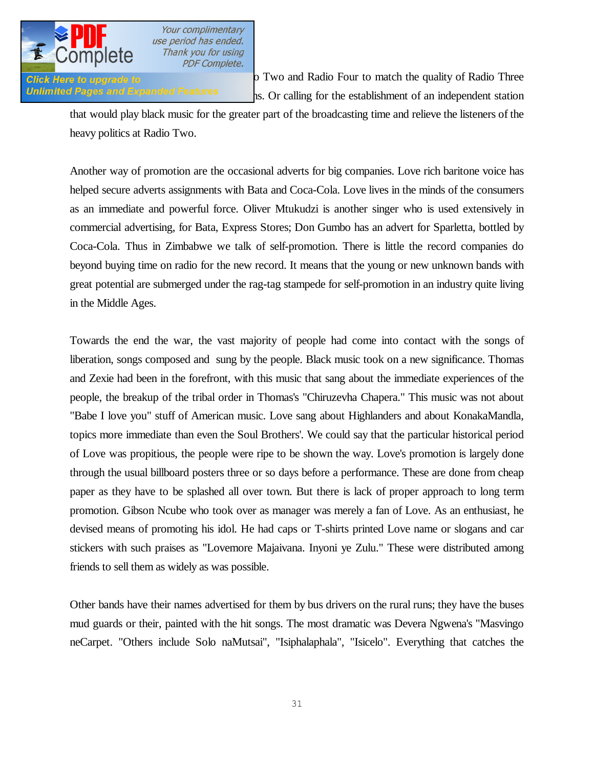

**Click Here to upgrade to** *phononic equipment* at Radio Two and Radio Four to match the quality of Radio Three Unlimited Pages and Expanded Features station is Or calling for the establishment of an independent station

that would play black music for the greater part of the broadcasting time and relieve the listeners of the heavy politics at Radio Two.

Another way of promotion are the occasional adverts for big companies. Love rich baritone voice has helped secure adverts assignments with Bata and Coca-Cola. Love lives in the minds of the consumers as an immediate and powerful force. Oliver Mtukudzi is another singer who is used extensively in commercial advertising, for Bata, Express Stores; Don Gumbo has an advert for Sparletta, bottled by Coca-Cola. Thus in Zimbabwe we talk of self-promotion. There is little the record companies do beyond buying time on radio for the new record. It means that the young or new unknown bands with great potential are submerged under the rag-tag stampede for self-promotion in an industry quite living in the Middle Ages.

Towards the end the war, the vast majority of people had come into contact with the songs of liberation, songs composed and sung by the people. Black music took on a new significance. Thomas and Zexie had been in the forefront, with this music that sang about the immediate experiences of the people, the breakup of the tribal order in Thomas's "Chiruzevha Chapera." This music was not about "Babe I love you" stuff of American music. Love sang about Highlanders and about KonakaMandla, topics more immediate than even the Soul Brothers'. We could say that the particular historical period of Love was propitious, the people were ripe to be shown the way. Love's promotion is largely done through the usual billboard posters three or so days before a performance. These are done from cheap paper as they have to be splashed all over town. But there is lack of proper approach to long term promotion. Gibson Ncube who took over as manager was merely a fan of Love. As an enthusiast, he devised means of promoting his idol. He had caps or T-shirts printed Love name or slogans and car stickers with such praises as "Lovemore Majaivana. Inyoni ye Zulu." These were distributed among friends to sell them as widely as was possible.

Other bands have their names advertised for them by bus drivers on the rural runs; they have the buses mud guards or their, painted with the hit songs. The most dramatic was Devera Ngwena's "Masvingo neCarpet. "Others include Solo naMutsai", "Isiphalaphala", "Isicelo". Everything that catches the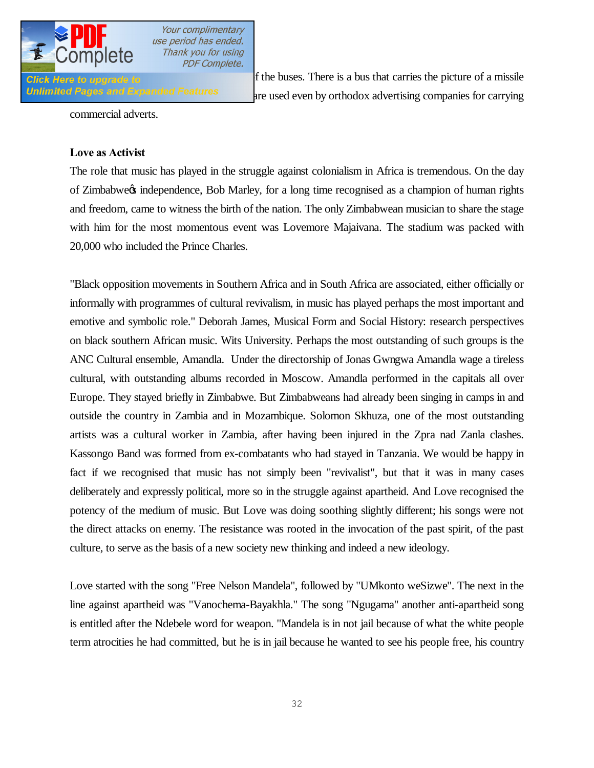

**Click** Here to upgrade to **interest of the buses**. There is a bus that carries the picture of a missile Unlimited Pages and Expanded Features are used even by orthodox advertising companies for carrying

commercial adverts.

### **Love as Activist**

The role that music has played in the struggle against colonialism in Africa is tremendous. On the day of Zimbabwe's independence, Bob Marley, for a long time recognised as a champion of human rights and freedom, came to witness the birth of the nation. The only Zimbabwean musician to share the stage with him for the most momentous event was Lovemore Majaivana. The stadium was packed with 20,000 who included the Prince Charles.

"Black opposition movements in Southern Africa and in South Africa are associated, either officially or informally with programmes of cultural revivalism, in music has played perhaps the most important and emotive and symbolic role." Deborah James, Musical Form and Social History: research perspectives on black southern African music. Wits University. Perhaps the most outstanding of such groups is the ANC Cultural ensemble, Amandla. Under the directorship of Jonas Gwngwa Amandla wage a tireless cultural, with outstanding albums recorded in Moscow. Amandla performed in the capitals all over Europe. They stayed briefly in Zimbabwe. But Zimbabweans had already been singing in camps in and outside the country in Zambia and in Mozambique. Solomon Skhuza, one of the most outstanding artists was a cultural worker in Zambia, after having been injured in the Zpra nad Zanla clashes. Kassongo Band was formed from ex-combatants who had stayed in Tanzania. We would be happy in fact if we recognised that music has not simply been "revivalist", but that it was in many cases deliberately and expressly political, more so in the struggle against apartheid. And Love recognised the potency of the medium of music. But Love was doing soothing slightly different; his songs were not the direct attacks on enemy. The resistance was rooted in the invocation of the past spirit, of the past culture, to serve as the basis of a new society new thinking and indeed a new ideology.

Love started with the song "Free Nelson Mandela", followed by "UMkonto weSizwe". The next in the line against apartheid was "Vanochema-Bayakhla." The song "Ngugama" another anti-apartheid song is entitled after the Ndebele word for weapon. "Mandela is in not jail because of what the white people term atrocities he had committed, but he is in jail because he wanted to see his people free, his country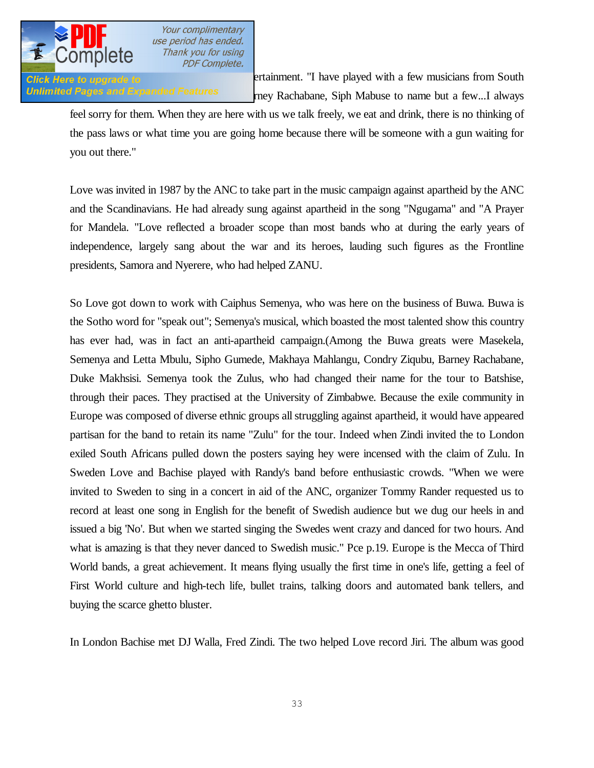

**Glick Here to upgrade to Entertainment.** "I have played with a few musicians from South Glick Here to upgrade to Unlimited Pages and Expanded Features rney Rachabane, Siph Mabuse to name but a few...I always

feel sorry for them. When they are here with us we talk freely, we eat and drink, there is no thinking of the pass laws or what time you are going home because there will be someone with a gun waiting for you out there."

Love was invited in 1987 by the ANC to take part in the music campaign against apartheid by the ANC and the Scandinavians. He had already sung against apartheid in the song "Ngugama" and "A Prayer for Mandela. "Love reflected a broader scope than most bands who at during the early years of independence, largely sang about the war and its heroes, lauding such figures as the Frontline presidents, Samora and Nyerere, who had helped ZANU.

So Love got down to work with Caiphus Semenya, who was here on the business of Buwa. Buwa is the Sotho word for "speak out"; Semenya's musical, which boasted the most talented show this country has ever had, was in fact an anti-apartheid campaign.(Among the Buwa greats were Masekela, Semenya and Letta Mbulu, Sipho Gumede, Makhaya Mahlangu, Condry Ziqubu, Barney Rachabane, Duke Makhsisi. Semenya took the Zulus, who had changed their name for the tour to Batshise, through their paces. They practised at the University of Zimbabwe. Because the exile community in Europe was composed of diverse ethnic groups all struggling against apartheid, it would have appeared partisan for the band to retain its name "Zulu" for the tour. Indeed when Zindi invited the to London exiled South Africans pulled down the posters saying hey were incensed with the claim of Zulu. In Sweden Love and Bachise played with Randy's band before enthusiastic crowds. "When we were invited to Sweden to sing in a concert in aid of the ANC, organizer Tommy Rander requested us to record at least one song in English for the benefit of Swedish audience but we dug our heels in and issued a big 'No'. But when we started singing the Swedes went crazy and danced for two hours. And what is amazing is that they never danced to Swedish music." Pce p.19. Europe is the Mecca of Third World bands, a great achievement. It means flying usually the first time in one's life, getting a feel of First World culture and high-tech life, bullet trains, talking doors and automated bank tellers, and buying the scarce ghetto bluster.

In London Bachise met DJ Walla, Fred Zindi. The two helped Love record Jiri. The album was good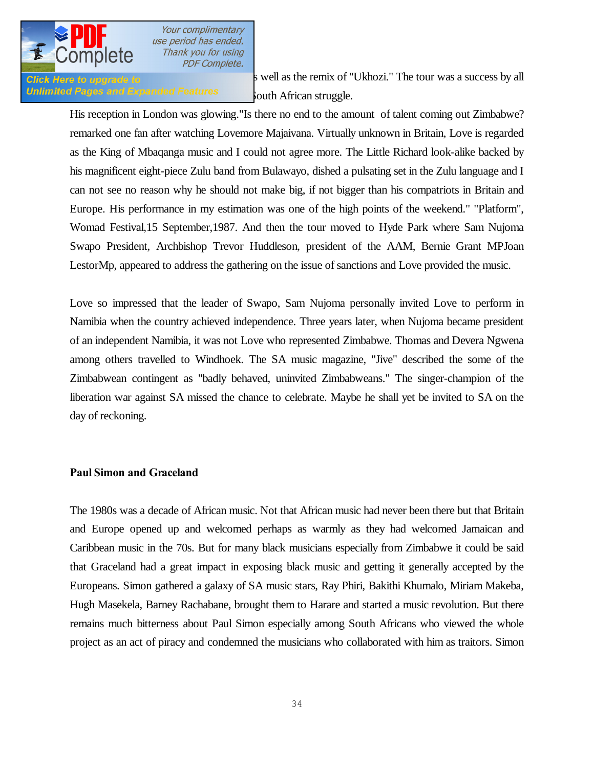

# Unlimited Pages and Expanded Features south African struggle.

**Click Here to upgrade to** 

His reception in London was glowing."Is there no end to the amount of talent coming out Zimbabwe? remarked one fan after watching Lovemore Majaivana. Virtually unknown in Britain, Love is regarded as the King of Mbaqanga music and I could not agree more. The Little Richard look-alike backed by his magnificent eight-piece Zulu band from Bulawayo, dished a pulsating set in the Zulu language and I can not see no reason why he should not make big, if not bigger than his compatriots in Britain and Europe. His performance in my estimation was one of the high points of the weekend." "Platform", Womad Festival,15 September,1987. And then the tour moved to Hyde Park where Sam Nujoma Swapo President, Archbishop Trevor Huddleson, president of the AAM, Bernie Grant MPJoan LestorMp, appeared to address the gathering on the issue of sanctions and Love provided the music.

Love so impressed that the leader of Swapo, Sam Nujoma personally invited Love to perform in Namibia when the country achieved independence. Three years later, when Nujoma became president of an independent Namibia, it was not Love who represented Zimbabwe. Thomas and Devera Ngwena among others travelled to Windhoek. The SA music magazine, "Jive" described the some of the Zimbabwean contingent as "badly behaved, uninvited Zimbabweans." The singer-champion of the liberation war against SA missed the chance to celebrate. Maybe he shall yet be invited to SA on the day of reckoning.

### **Paul Simon and Graceland**

The 1980s was a decade of African music. Not that African music had never been there but that Britain and Europe opened up and welcomed perhaps as warmly as they had welcomed Jamaican and Caribbean music in the 70s. But for many black musicians especially from Zimbabwe it could be said that Graceland had a great impact in exposing black music and getting it generally accepted by the Europeans. Simon gathered a galaxy of SA music stars, Ray Phiri, Bakithi Khumalo, Miriam Makeba, Hugh Masekela, Barney Rachabane, brought them to Harare and started a music revolution. But there remains much bitterness about Paul Simon especially among South Africans who viewed the whole project as an act of piracy and condemned the musicians who collaborated with him as traitors. Simon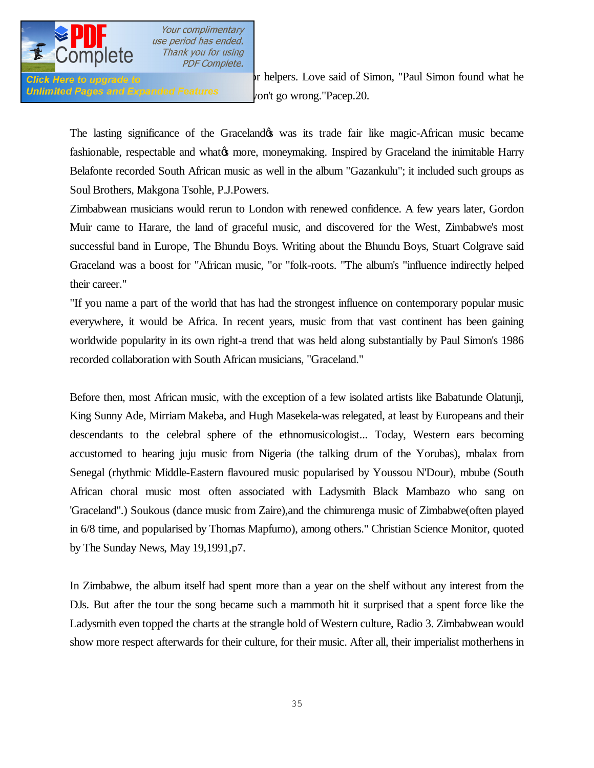

Unlimited Pages and Expanded Features  $_{\rm v}$  on't go wrong."Pacep.20.

**Click Here to upgrade to** Johanness Love said of Simon, "Paul Simon found what he

The lasting significance of the Graceland twas its trade fair like magic-African music became fashionable, respectable and what to more, moneymaking. Inspired by Graceland the inimitable Harry Belafonte recorded South African music as well in the album "Gazankulu"; it included such groups as Soul Brothers, Makgona Tsohle, P.J.Powers.

Zimbabwean musicians would rerun to London with renewed confidence. A few years later, Gordon Muir came to Harare, the land of graceful music, and discovered for the West, Zimbabwe's most successful band in Europe, The Bhundu Boys. Writing about the Bhundu Boys, Stuart Colgrave said Graceland was a boost for "African music, "or "folk-roots. "The album's "influence indirectly helped their career."

"If you name a part of the world that has had the strongest influence on contemporary popular music everywhere, it would be Africa. In recent years, music from that vast continent has been gaining worldwide popularity in its own right-a trend that was held along substantially by Paul Simon's 1986 recorded collaboration with South African musicians, "Graceland."

Before then, most African music, with the exception of a few isolated artists like Babatunde Olatunji, King Sunny Ade, Mirriam Makeba, and Hugh Masekela-was relegated, at least by Europeans and their descendants to the celebral sphere of the ethnomusicologist... Today, Western ears becoming accustomed to hearing juju music from Nigeria (the talking drum of the Yorubas), mbalax from Senegal (rhythmic Middle-Eastern flavoured music popularised by Youssou N'Dour), mbube (South African choral music most often associated with Ladysmith Black Mambazo who sang on 'Graceland".) Soukous (dance music from Zaire),and the chimurenga music of Zimbabwe(often played in 6/8 time, and popularised by Thomas Mapfumo), among others." Christian Science Monitor, quoted by The Sunday News, May 19,1991,p7.

In Zimbabwe, the album itself had spent more than a year on the shelf without any interest from the DJs. But after the tour the song became such a mammoth hit it surprised that a spent force like the Ladysmith even topped the charts at the strangle hold of Western culture, Radio 3. Zimbabwean would show more respect afterwards for their culture, for their music. After all, their imperialist motherhens in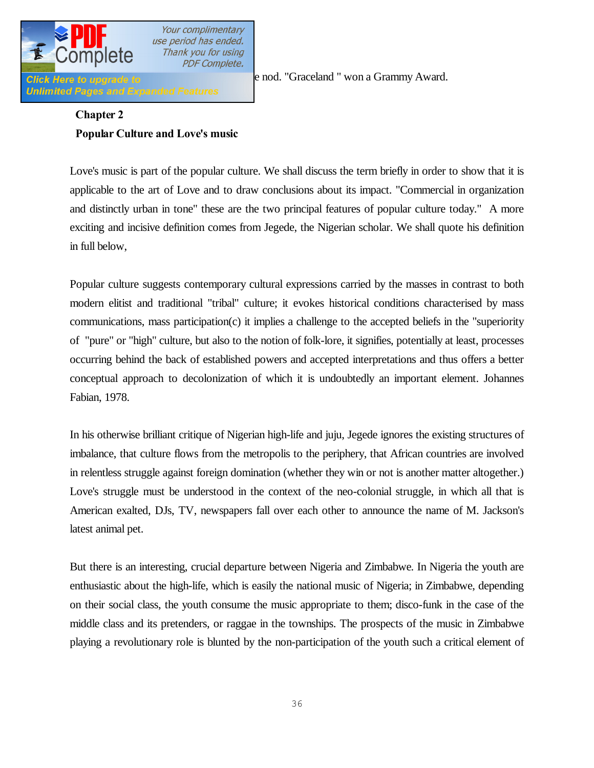

**Unlimited Pages and Expanded Features** 

Click Here to upgrade to **New York had given the node of Click** Here to upgrade to **contain the node of Click** Here is a Grammy Award.

# **Chapter 2 Popular Culture and Love's music**

Love's music is part of the popular culture. We shall discuss the term briefly in order to show that it is applicable to the art of Love and to draw conclusions about its impact. "Commercial in organization and distinctly urban in tone" these are the two principal features of popular culture today." A more exciting and incisive definition comes from Jegede, the Nigerian scholar. We shall quote his definition in full below,

Popular culture suggests contemporary cultural expressions carried by the masses in contrast to both modern elitist and traditional "tribal" culture; it evokes historical conditions characterised by mass communications, mass participation(c) it implies a challenge to the accepted beliefs in the "superiority of "pure" or "high" culture, but also to the notion of folk-lore, it signifies, potentially at least, processes occurring behind the back of established powers and accepted interpretations and thus offers a better conceptual approach to decolonization of which it is undoubtedly an important element. Johannes Fabian, 1978.

In his otherwise brilliant critique of Nigerian high-life and juju, Jegede ignores the existing structures of imbalance, that culture flows from the metropolis to the periphery, that African countries are involved in relentless struggle against foreign domination (whether they win or not is another matter altogether.) Love's struggle must be understood in the context of the neo-colonial struggle, in which all that is American exalted, DJs, TV, newspapers fall over each other to announce the name of M. Jackson's latest animal pet.

But there is an interesting, crucial departure between Nigeria and Zimbabwe. In Nigeria the youth are enthusiastic about the high-life, which is easily the national music of Nigeria; in Zimbabwe, depending on their social class, the youth consume the music appropriate to them; disco-funk in the case of the middle class and its pretenders, or raggae in the townships. The prospects of the music in Zimbabwe playing a revolutionary role is blunted by the non-participation of the youth such a critical element of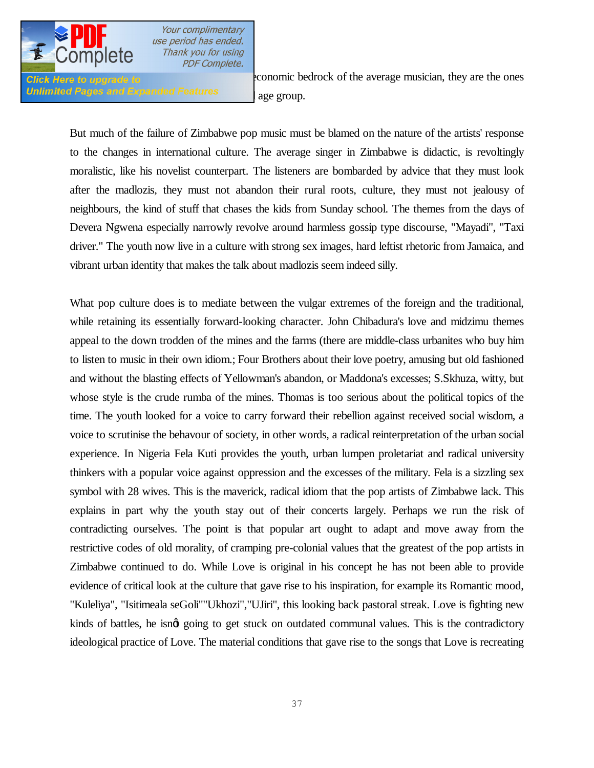

Unlimited Pages and Expanded Features and age group.

**Click Here to upgrade to revolution** to *conomic bedrock of the average musician, they are the ones* 

But much of the failure of Zimbabwe pop music must be blamed on the nature of the artists' response to the changes in international culture. The average singer in Zimbabwe is didactic, is revoltingly moralistic, like his novelist counterpart. The listeners are bombarded by advice that they must look after the madlozis, they must not abandon their rural roots, culture, they must not jealousy of neighbours, the kind of stuff that chases the kids from Sunday school. The themes from the days of Devera Ngwena especially narrowly revolve around harmless gossip type discourse, "Mayadi", "Taxi driver." The youth now live in a culture with strong sex images, hard leftist rhetoric from Jamaica, and vibrant urban identity that makes the talk about madlozis seem indeed silly.

What pop culture does is to mediate between the vulgar extremes of the foreign and the traditional, while retaining its essentially forward-looking character. John Chibadura's love and midzimu themes appeal to the down trodden of the mines and the farms (there are middle-class urbanites who buy him to listen to music in their own idiom.; Four Brothers about their love poetry, amusing but old fashioned and without the blasting effects of Yellowman's abandon, or Maddona's excesses; S.Skhuza, witty, but whose style is the crude rumba of the mines. Thomas is too serious about the political topics of the time. The youth looked for a voice to carry forward their rebellion against received social wisdom, a voice to scrutinise the behavour of society, in other words, a radical reinterpretation of the urban social experience. In Nigeria Fela Kuti provides the youth, urban lumpen proletariat and radical university thinkers with a popular voice against oppression and the excesses of the military. Fela is a sizzling sex symbol with 28 wives. This is the maverick, radical idiom that the pop artists of Zimbabwe lack. This explains in part why the youth stay out of their concerts largely. Perhaps we run the risk of contradicting ourselves. The point is that popular art ought to adapt and move away from the restrictive codes of old morality, of cramping pre-colonial values that the greatest of the pop artists in Zimbabwe continued to do. While Love is original in his concept he has not been able to provide evidence of critical look at the culture that gave rise to his inspiration, for example its Romantic mood, "Kuleliya", "Isitimeala seGoli""Ukhozi","UJiri", this looking back pastoral streak. Love is fighting new kinds of battles, he isngt going to get stuck on outdated communal values. This is the contradictory ideological practice of Love. The material conditions that gave rise to the songs that Love is recreating